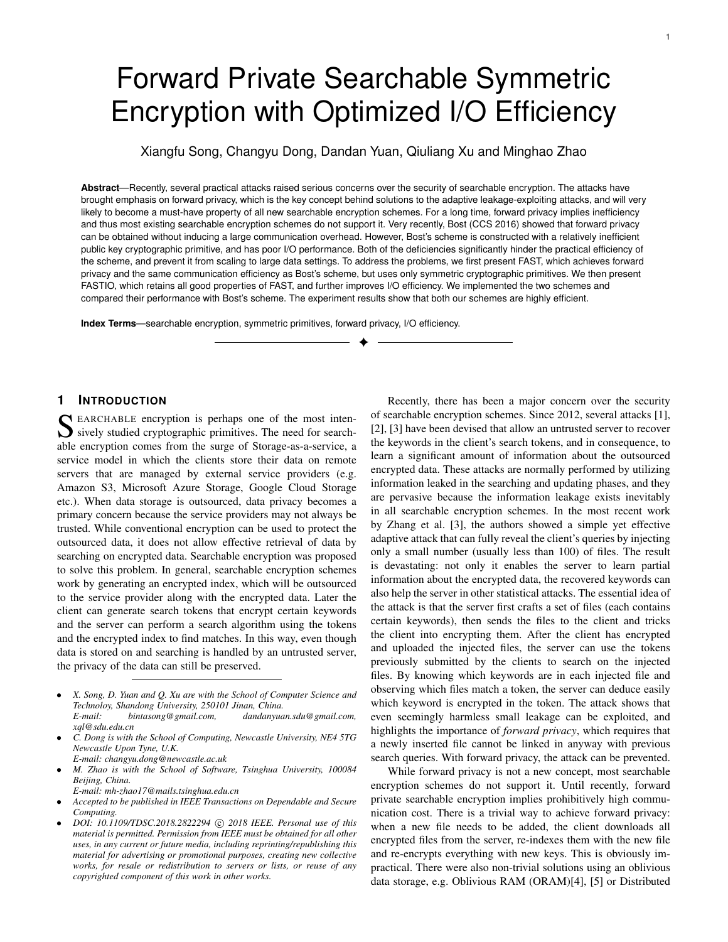# Forward Private Searchable Symmetric Encryption with Optimized I/O Efficiency

Xiangfu Song, Changyu Dong, Dandan Yuan, Qiuliang Xu and Minghao Zhao

**Abstract**—Recently, several practical attacks raised serious concerns over the security of searchable encryption. The attacks have brought emphasis on forward privacy, which is the key concept behind solutions to the adaptive leakage-exploiting attacks, and will very likely to become a must-have property of all new searchable encryption schemes. For a long time, forward privacy implies inefficiency and thus most existing searchable encryption schemes do not support it. Very recently, Bost (CCS 2016) showed that forward privacy can be obtained without inducing a large communication overhead. However, Bost's scheme is constructed with a relatively inefficient public key cryptographic primitive, and has poor I/O performance. Both of the deficiencies significantly hinder the practical efficiency of the scheme, and prevent it from scaling to large data settings. To address the problems, we first present FAST, which achieves forward privacy and the same communication efficiency as Bost's scheme, but uses only symmetric cryptographic primitives. We then present FASTIO, which retains all good properties of FAST, and further improves I/O efficiency. We implemented the two schemes and compared their performance with Bost's scheme. The experiment results show that both our schemes are highly efficient.

✦

**Index Terms**—searchable encryption, symmetric primitives, forward privacy, I/O efficiency.

# **1 INTRODUCTION**

SEARCHABLE encryption is perhaps one of the most inten-<br>sively studied cryptographic primitives. The need for search-<br>able aggregation aggregation for the sumse of Stagger as a service of sively studied cryptographic primitives. The need for searchable encryption comes from the surge of Storage-as-a-service, a service model in which the clients store their data on remote servers that are managed by external service providers (e.g. Amazon S3, Microsoft Azure Storage, Google Cloud Storage etc.). When data storage is outsourced, data privacy becomes a primary concern because the service providers may not always be trusted. While conventional encryption can be used to protect the outsourced data, it does not allow effective retrieval of data by searching on encrypted data. Searchable encryption was proposed to solve this problem. In general, searchable encryption schemes work by generating an encrypted index, which will be outsourced to the service provider along with the encrypted data. Later the client can generate search tokens that encrypt certain keywords and the server can perform a search algorithm using the tokens and the encrypted index to find matches. In this way, even though data is stored on and searching is handled by an untrusted server, the privacy of the data can still be preserved.

- *E-mail: changyu.dong@newcastle.ac.uk*
- *M. Zhao is with the School of Software, Tsinghua University, 100084 Beijing, China.*
- *E-mail: mh-zhao17@mails.tsinghua.edu.cn*
- *Accepted to be published in IEEE Transactions on Dependable and Secure Computing.*
- DOI: 10.1109/TDSC.2018.2822294 © 2018 IEEE. Personal use of this *material is permitted. Permission from IEEE must be obtained for all other uses, in any current or future media, including reprinting/republishing this material for advertising or promotional purposes, creating new collective works, for resale or redistribution to servers or lists, or reuse of any copyrighted component of this work in other works.*

Recently, there has been a major concern over the security of searchable encryption schemes. Since 2012, several attacks [1], [2], [3] have been devised that allow an untrusted server to recover the keywords in the client's search tokens, and in consequence, to learn a significant amount of information about the outsourced encrypted data. These attacks are normally performed by utilizing information leaked in the searching and updating phases, and they are pervasive because the information leakage exists inevitably in all searchable encryption schemes. In the most recent work by Zhang et al. [3], the authors showed a simple yet effective adaptive attack that can fully reveal the client's queries by injecting only a small number (usually less than 100) of files. The result is devastating: not only it enables the server to learn partial information about the encrypted data, the recovered keywords can also help the server in other statistical attacks. The essential idea of the attack is that the server first crafts a set of files (each contains certain keywords), then sends the files to the client and tricks the client into encrypting them. After the client has encrypted and uploaded the injected files, the server can use the tokens previously submitted by the clients to search on the injected files. By knowing which keywords are in each injected file and observing which files match a token, the server can deduce easily which keyword is encrypted in the token. The attack shows that even seemingly harmless small leakage can be exploited, and highlights the importance of *forward privacy*, which requires that a newly inserted file cannot be linked in anyway with previous search queries. With forward privacy, the attack can be prevented.

While forward privacy is not a new concept, most searchable encryption schemes do not support it. Until recently, forward private searchable encryption implies prohibitively high communication cost. There is a trivial way to achieve forward privacy: when a new file needs to be added, the client downloads all encrypted files from the server, re-indexes them with the new file and re-encrypts everything with new keys. This is obviously impractical. There were also non-trivial solutions using an oblivious data storage, e.g. Oblivious RAM (ORAM)[4], [5] or Distributed

<sup>•</sup> *X. Song, D. Yuan and Q. Xu are with the School of Computer Science and Technoloy, Shandong University, 250101 Jinan, China. E-mail: bintasong@gmail.com, dandanyuan.sdu@gmail.com, xql@sdu.edu.cn*

<sup>•</sup> *C. Dong is with the School of Computing, Newcastle University, NE4 5TG Newcastle Upon Tyne, U.K.*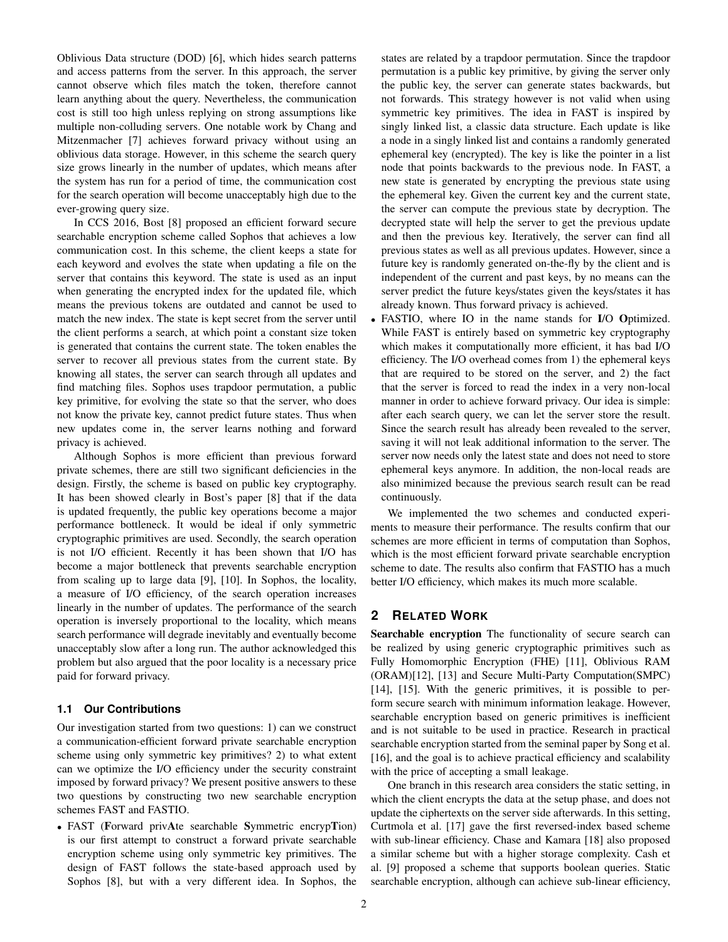Oblivious Data structure (DOD) [6], which hides search patterns and access patterns from the server. In this approach, the server cannot observe which files match the token, therefore cannot learn anything about the query. Nevertheless, the communication cost is still too high unless replying on strong assumptions like multiple non-colluding servers. One notable work by Chang and Mitzenmacher [7] achieves forward privacy without using an oblivious data storage. However, in this scheme the search query size grows linearly in the number of updates, which means after the system has run for a period of time, the communication cost for the search operation will become unacceptably high due to the ever-growing query size.

In CCS 2016, Bost [8] proposed an efficient forward secure searchable encryption scheme called Sophos that achieves a low communication cost. In this scheme, the client keeps a state for each keyword and evolves the state when updating a file on the server that contains this keyword. The state is used as an input when generating the encrypted index for the updated file, which means the previous tokens are outdated and cannot be used to match the new index. The state is kept secret from the server until the client performs a search, at which point a constant size token is generated that contains the current state. The token enables the server to recover all previous states from the current state. By knowing all states, the server can search through all updates and find matching files. Sophos uses trapdoor permutation, a public key primitive, for evolving the state so that the server, who does not know the private key, cannot predict future states. Thus when new updates come in, the server learns nothing and forward privacy is achieved.

Although Sophos is more efficient than previous forward private schemes, there are still two significant deficiencies in the design. Firstly, the scheme is based on public key cryptography. It has been showed clearly in Bost's paper [8] that if the data is updated frequently, the public key operations become a major performance bottleneck. It would be ideal if only symmetric cryptographic primitives are used. Secondly, the search operation is not I/O efficient. Recently it has been shown that I/O has become a major bottleneck that prevents searchable encryption from scaling up to large data [9], [10]. In Sophos, the locality, a measure of I/O efficiency, of the search operation increases linearly in the number of updates. The performance of the search operation is inversely proportional to the locality, which means search performance will degrade inevitably and eventually become unacceptably slow after a long run. The author acknowledged this problem but also argued that the poor locality is a necessary price paid for forward privacy.

## **1.1 Our Contributions**

Our investigation started from two questions: 1) can we construct a communication-efficient forward private searchable encryption scheme using only symmetric key primitives? 2) to what extent can we optimize the I/O efficiency under the security constraint imposed by forward privacy? We present positive answers to these two questions by constructing two new searchable encryption schemes FAST and FASTIO.

• FAST (Forward privAte searchable Symmetric encrypTion) is our first attempt to construct a forward private searchable encryption scheme using only symmetric key primitives. The design of FAST follows the state-based approach used by Sophos [8], but with a very different idea. In Sophos, the states are related by a trapdoor permutation. Since the trapdoor permutation is a public key primitive, by giving the server only the public key, the server can generate states backwards, but not forwards. This strategy however is not valid when using symmetric key primitives. The idea in FAST is inspired by singly linked list, a classic data structure. Each update is like a node in a singly linked list and contains a randomly generated ephemeral key (encrypted). The key is like the pointer in a list node that points backwards to the previous node. In FAST, a new state is generated by encrypting the previous state using the ephemeral key. Given the current key and the current state, the server can compute the previous state by decryption. The decrypted state will help the server to get the previous update and then the previous key. Iteratively, the server can find all previous states as well as all previous updates. However, since a future key is randomly generated on-the-fly by the client and is independent of the current and past keys, by no means can the server predict the future keys/states given the keys/states it has already known. Thus forward privacy is achieved.

• FASTIO, where IO in the name stands for I/O Optimized. While FAST is entirely based on symmetric key cryptography which makes it computationally more efficient, it has bad I/O efficiency. The I/O overhead comes from 1) the ephemeral keys that are required to be stored on the server, and 2) the fact that the server is forced to read the index in a very non-local manner in order to achieve forward privacy. Our idea is simple: after each search query, we can let the server store the result. Since the search result has already been revealed to the server, saving it will not leak additional information to the server. The server now needs only the latest state and does not need to store ephemeral keys anymore. In addition, the non-local reads are also minimized because the previous search result can be read continuously.

We implemented the two schemes and conducted experiments to measure their performance. The results confirm that our schemes are more efficient in terms of computation than Sophos, which is the most efficient forward private searchable encryption scheme to date. The results also confirm that FASTIO has a much better I/O efficiency, which makes its much more scalable.

# **2 RELATED WORK**

Searchable encryption The functionality of secure search can be realized by using generic cryptographic primitives such as Fully Homomorphic Encryption (FHE) [11], Oblivious RAM (ORAM)[12], [13] and Secure Multi-Party Computation(SMPC) [14], [15]. With the generic primitives, it is possible to perform secure search with minimum information leakage. However, searchable encryption based on generic primitives is inefficient and is not suitable to be used in practice. Research in practical searchable encryption started from the seminal paper by Song et al. [16], and the goal is to achieve practical efficiency and scalability with the price of accepting a small leakage.

One branch in this research area considers the static setting, in which the client encrypts the data at the setup phase, and does not update the ciphertexts on the server side afterwards. In this setting, Curtmola et al. [17] gave the first reversed-index based scheme with sub-linear efficiency. Chase and Kamara [18] also proposed a similar scheme but with a higher storage complexity. Cash et al. [9] proposed a scheme that supports boolean queries. Static searchable encryption, although can achieve sub-linear efficiency,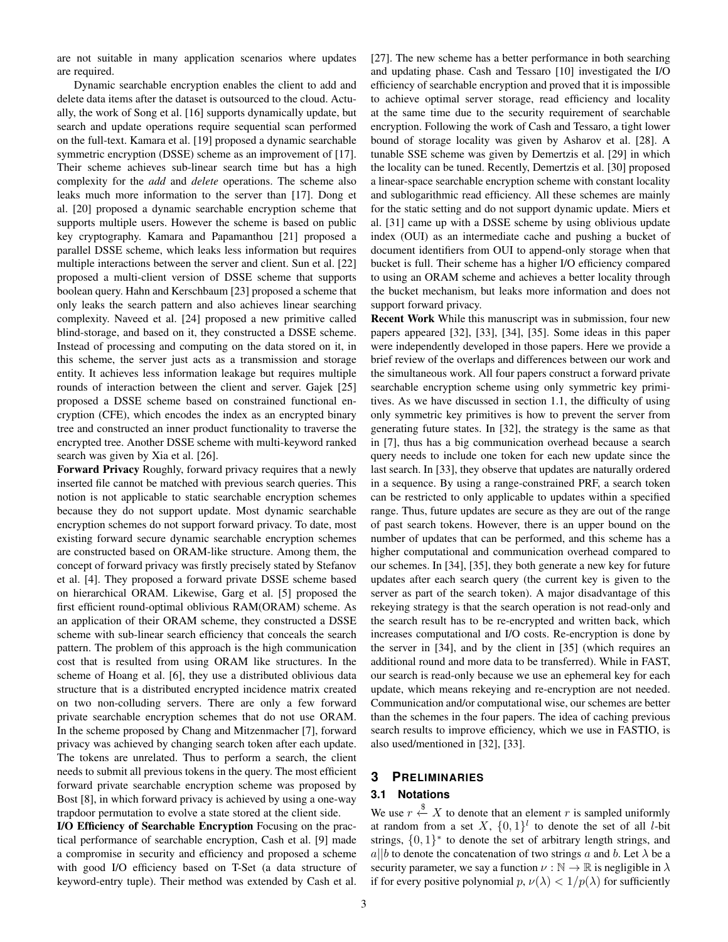are not suitable in many application scenarios where updates are required.

Dynamic searchable encryption enables the client to add and delete data items after the dataset is outsourced to the cloud. Actually, the work of Song et al. [16] supports dynamically update, but search and update operations require sequential scan performed on the full-text. Kamara et al. [19] proposed a dynamic searchable symmetric encryption (DSSE) scheme as an improvement of [17]. Their scheme achieves sub-linear search time but has a high complexity for the *add* and *delete* operations. The scheme also leaks much more information to the server than [17]. Dong et al. [20] proposed a dynamic searchable encryption scheme that supports multiple users. However the scheme is based on public key cryptography. Kamara and Papamanthou [21] proposed a parallel DSSE scheme, which leaks less information but requires multiple interactions between the server and client. Sun et al. [22] proposed a multi-client version of DSSE scheme that supports boolean query. Hahn and Kerschbaum [23] proposed a scheme that only leaks the search pattern and also achieves linear searching complexity. Naveed et al. [24] proposed a new primitive called blind-storage, and based on it, they constructed a DSSE scheme. Instead of processing and computing on the data stored on it, in this scheme, the server just acts as a transmission and storage entity. It achieves less information leakage but requires multiple rounds of interaction between the client and server. Gajek [25] proposed a DSSE scheme based on constrained functional encryption (CFE), which encodes the index as an encrypted binary tree and constructed an inner product functionality to traverse the encrypted tree. Another DSSE scheme with multi-keyword ranked search was given by Xia et al. [26].

Forward Privacy Roughly, forward privacy requires that a newly inserted file cannot be matched with previous search queries. This notion is not applicable to static searchable encryption schemes because they do not support update. Most dynamic searchable encryption schemes do not support forward privacy. To date, most existing forward secure dynamic searchable encryption schemes are constructed based on ORAM-like structure. Among them, the concept of forward privacy was firstly precisely stated by Stefanov et al. [4]. They proposed a forward private DSSE scheme based on hierarchical ORAM. Likewise, Garg et al. [5] proposed the first efficient round-optimal oblivious RAM(ORAM) scheme. As an application of their ORAM scheme, they constructed a DSSE scheme with sub-linear search efficiency that conceals the search pattern. The problem of this approach is the high communication cost that is resulted from using ORAM like structures. In the scheme of Hoang et al. [6], they use a distributed oblivious data structure that is a distributed encrypted incidence matrix created on two non-colluding servers. There are only a few forward private searchable encryption schemes that do not use ORAM. In the scheme proposed by Chang and Mitzenmacher [7], forward privacy was achieved by changing search token after each update. The tokens are unrelated. Thus to perform a search, the client needs to submit all previous tokens in the query. The most efficient forward private searchable encryption scheme was proposed by Bost [8], in which forward privacy is achieved by using a one-way trapdoor permutation to evolve a state stored at the client side.

I/O Efficiency of Searchable Encryption Focusing on the practical performance of searchable encryption, Cash et al. [9] made a compromise in security and efficiency and proposed a scheme with good I/O efficiency based on T-Set (a data structure of keyword-entry tuple). Their method was extended by Cash et al. [27]. The new scheme has a better performance in both searching and updating phase. Cash and Tessaro [10] investigated the I/O efficiency of searchable encryption and proved that it is impossible to achieve optimal server storage, read efficiency and locality at the same time due to the security requirement of searchable encryption. Following the work of Cash and Tessaro, a tight lower bound of storage locality was given by Asharov et al. [28]. A tunable SSE scheme was given by Demertzis et al. [29] in which the locality can be tuned. Recently, Demertzis et al. [30] proposed a linear-space searchable encryption scheme with constant locality and sublogarithmic read efficiency. All these schemes are mainly for the static setting and do not support dynamic update. Miers et al. [31] came up with a DSSE scheme by using oblivious update index (OUI) as an intermediate cache and pushing a bucket of document identifiers from OUI to append-only storage when that bucket is full. Their scheme has a higher I/O efficiency compared to using an ORAM scheme and achieves a better locality through the bucket mechanism, but leaks more information and does not support forward privacy.

Recent Work While this manuscript was in submission, four new papers appeared [32], [33], [34], [35]. Some ideas in this paper were independently developed in those papers. Here we provide a brief review of the overlaps and differences between our work and the simultaneous work. All four papers construct a forward private searchable encryption scheme using only symmetric key primitives. As we have discussed in section 1.1, the difficulty of using only symmetric key primitives is how to prevent the server from generating future states. In [32], the strategy is the same as that in [7], thus has a big communication overhead because a search query needs to include one token for each new update since the last search. In [33], they observe that updates are naturally ordered in a sequence. By using a range-constrained PRF, a search token can be restricted to only applicable to updates within a specified range. Thus, future updates are secure as they are out of the range of past search tokens. However, there is an upper bound on the number of updates that can be performed, and this scheme has a higher computational and communication overhead compared to our schemes. In [34], [35], they both generate a new key for future updates after each search query (the current key is given to the server as part of the search token). A major disadvantage of this rekeying strategy is that the search operation is not read-only and the search result has to be re-encrypted and written back, which increases computational and I/O costs. Re-encryption is done by the server in [34], and by the client in [35] (which requires an additional round and more data to be transferred). While in FAST, our search is read-only because we use an ephemeral key for each update, which means rekeying and re-encryption are not needed. Communication and/or computational wise, our schemes are better than the schemes in the four papers. The idea of caching previous search results to improve efficiency, which we use in FASTIO, is also used/mentioned in [32], [33].

## **3 PRELIMINARIES**

# **3.1 Notations**

We use  $r \stackrel{\$}{\leftarrow} X$  to denote that an element r is sampled uniformly at random from a set X,  $\{0,1\}^l$  to denote the set of all *l*-bit strings,  $\{0,1\}^*$  to denote the set of arbitrary length strings, and a||b to denote the concatenation of two strings a and b. Let  $\lambda$  be a security parameter, we say a function  $\nu : \mathbb{N} \to \mathbb{R}$  is negligible in  $\lambda$ if for every positive polynomial  $p, \nu(\lambda) < 1/p(\lambda)$  for sufficiently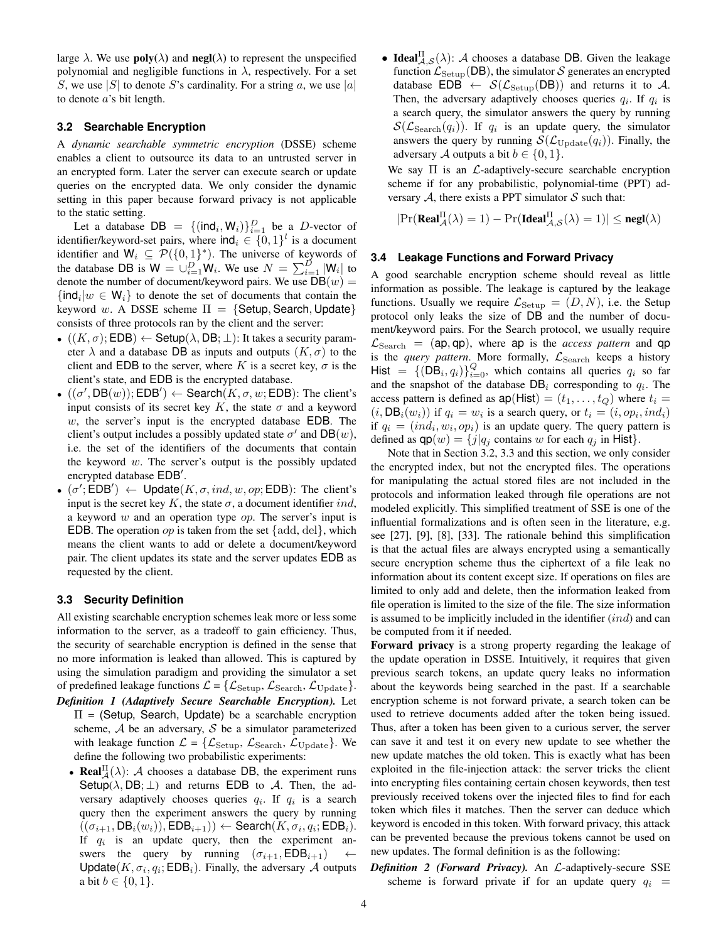large  $\lambda$ . We use **poly**( $\lambda$ ) and **negl**( $\lambda$ ) to represent the unspecified polynomial and negligible functions in  $\lambda$ , respectively. For a set S, we use |S| to denote S's cardinality. For a string a, we use |a| to denote a's bit length.

#### **3.2 Searchable Encryption**

A *dynamic searchable symmetric encryption* (DSSE) scheme enables a client to outsource its data to an untrusted server in an encrypted form. Later the server can execute search or update queries on the encrypted data. We only consider the dynamic setting in this paper because forward privacy is not applicable to the static setting.

Let a database  $DB = \{(\text{ind}_i, W_i)\}_{i=1}^D$  be a D-vector of identifier/keyword-set pairs, where  $\text{ind}_i \in \{0,1\}^l$  is a document identifier and  $W_i \subseteq \mathcal{P}(\{0,1\}^*)$ . The universe of keywords of the database DB is  $W = \bigcup_{i=1}^{D} W_i$ . We use  $N = \sum_{i=1}^{D} |W_i|$  to denote the number of document/keyword pairs. We use  $DB(w)$  =  $\{\text{ind}_i | w \in W_i\}$  to denote the set of documents that contain the keyword w. A DSSE scheme  $\Pi = \{$ Setup, Search, Update $\}$ consists of three protocols ran by the client and the server:

- $((K,\sigma);EDB) \leftarrow$  Setup $(\lambda, DB; \perp):$  It takes a security parameter  $\lambda$  and a database DB as inputs and outputs  $(K, \sigma)$  to the client and EDB to the server, where K is a secret key,  $\sigma$  is the client's state, and EDB is the encrypted database.
- $((\sigma', DB(w)); EDB') \leftarrow Search(K, \sigma, w; EDB):$  The client's input consists of its secret key K, the state  $\sigma$  and a keyword w, the server's input is the encrypted database EDB. The client's output includes a possibly updated state  $\sigma'$  and  $DB(w)$ , i.e. the set of the identifiers of the documents that contain the keyword  $w$ . The server's output is the possibly updated encrypted database EDB'.
- $(\sigma';\overline{\mathsf{EDB}}') \leftarrow \mathsf{Update}(K, \sigma, ind, w, op; \mathsf{EDB})$ : The client's input is the secret key K, the state  $\sigma$ , a document identifier ind, a keyword  $w$  and an operation type  $op.$  The server's input is **EDB.** The operation *op* is taken from the set  $\{add, del\}$ , which means the client wants to add or delete a document/keyword pair. The client updates its state and the server updates EDB as requested by the client.

#### **3.3 Security Definition**

All existing searchable encryption schemes leak more or less some information to the server, as a tradeoff to gain efficiency. Thus, the security of searchable encryption is defined in the sense that no more information is leaked than allowed. This is captured by using the simulation paradigm and providing the simulator a set of predefined leakage functions  $\mathcal{L} = \{ \mathcal{L}_{\text{Setup}}, \mathcal{L}_{\text{Search}}, \mathcal{L}_{\text{Update}} \}.$ 

- *Definition 1 (Adaptively Secure Searchable Encryption).* Let  $\Pi$  = (Setup, Search, Update) be a searchable encryption scheme,  $A$  be an adversary,  $S$  be a simulator parameterized with leakage function  $\mathcal{L} = \{ \mathcal{L}_{\text{Setup}}, \mathcal{L}_{\text{Search}}, \mathcal{L}_{\text{Update}} \}.$  We define the following two probabilistic experiments:
	- **Real** $\prod_{\lambda}(\lambda)$ : A chooses a database DB, the experiment runs Setup( $\lambda$ , DB;  $\bot$ ) and returns EDB to A. Then, the adversary adaptively chooses queries  $q_i$ . If  $q_i$  is a search query then the experiment answers the query by running  $((\sigma_{i+1},\textsf{DB}_i(w_i)),\textsf{EDB}_{i+1})) \leftarrow \textsf{Search}(K,\sigma_i,q_i;\textsf{EDB}_i).$ If  $q_i$  is an update query, then the experiment answers the query by running  $(\sigma_{i+1}, \text{EDB}_{i+1}) \leftarrow$ Update $(K, \sigma_i, q_i; EDB_i)$ . Finally, the adversary A outputs a bit *b* ∈ {0, 1}.

• Ideal $I_{\mathcal{A},\mathcal{S}}^{II}(\lambda)$ : A chooses a database DB. Given the leakage function  $\mathcal{L}_{\text{Setup}}(DB)$ , the simulator S generates an encrypted database  $EDB \leftarrow S(\mathcal{L}_{Setup}(DB))$  and returns it to A. Then, the adversary adaptively chooses queries  $q_i$ . If  $q_i$  is a search query, the simulator answers the query by running  $\mathcal{S}(\mathcal{L}_{\text{Search}}(q_i))$ . If  $q_i$  is an update query, the simulator answers the query by running  $\mathcal{S}(\mathcal{L}_{\text{Undate}}(q_i))$ . Finally, the adversary A outputs a bit  $b \in \{0, 1\}$ .

We say  $\Pi$  is an  $\mathcal{L}$ -adaptively-secure searchable encryption scheme if for any probabilistic, polynomial-time (PPT) adversary  $A$ , there exists a PPT simulator  $S$  such that:

$$
|\mathrm{Pr}(\mathbf{Real}_{\mathcal{A}}^{\Pi}(\lambda) = 1) - \mathrm{Pr}(\mathbf{Ideal}_{\mathcal{A},\mathcal{S}}^{\Pi}(\lambda) = 1)| \leq \mathbf{negl}(\lambda)
$$

#### **3.4 Leakage Functions and Forward Privacy**

A good searchable encryption scheme should reveal as little information as possible. The leakage is captured by the leakage functions. Usually we require  $\mathcal{L}_{\text{Setup}} = (D, N)$ , i.e. the Setup protocol only leaks the size of DB and the number of document/keyword pairs. For the Search protocol, we usually require  $\mathcal{L}_{\text{Search}}$  = (ap, qp), where ap is the *access pattern* and qp is the *query pattern*. More formally,  $\mathcal{L}_{\text{Search}}$  keeps a history Hist = { $(DB_i, q_i)$ } $_{i=0}^Q$ , which contains all queries  $q_i$  so far and the snapshot of the database  $DB_i$  corresponding to  $q_i$ . The access pattern is defined as  $ap(Hist) = (t_1, \ldots, t_Q)$  where  $t_i =$  $(i, DB_i(w_i))$  if  $q_i = w_i$  is a search query, or  $t_i = (i, op_i, ind_i)$ if  $q_i = (ind_i, w_i, op_i)$  is an update query. The query pattern is defined as  $qp(w) = \{j|q_j \text{ contains } w \text{ for each } q_j \text{ in Hist}\}.$ 

Note that in Section 3.2, 3.3 and this section, we only consider the encrypted index, but not the encrypted files. The operations for manipulating the actual stored files are not included in the protocols and information leaked through file operations are not modeled explicitly. This simplified treatment of SSE is one of the influential formalizations and is often seen in the literature, e.g. see [27], [9], [8], [33]. The rationale behind this simplification is that the actual files are always encrypted using a semantically secure encryption scheme thus the ciphertext of a file leak no information about its content except size. If operations on files are limited to only add and delete, then the information leaked from file operation is limited to the size of the file. The size information is assumed to be implicitly included in the identifier (ind) and can be computed from it if needed.

Forward privacy is a strong property regarding the leakage of the update operation in DSSE. Intuitively, it requires that given previous search tokens, an update query leaks no information about the keywords being searched in the past. If a searchable encryption scheme is not forward private, a search token can be used to retrieve documents added after the token being issued. Thus, after a token has been given to a curious server, the server can save it and test it on every new update to see whether the new update matches the old token. This is exactly what has been exploited in the file-injection attack: the server tricks the client into encrypting files containing certain chosen keywords, then test previously received tokens over the injected files to find for each token which files it matches. Then the server can deduce which keyword is encoded in this token. With forward privacy, this attack can be prevented because the previous tokens cannot be used on new updates. The formal definition is as the following:

*Definition 2 (Forward Privacy).* An L-adaptively-secure SSE scheme is forward private if for an update query  $q_i$  =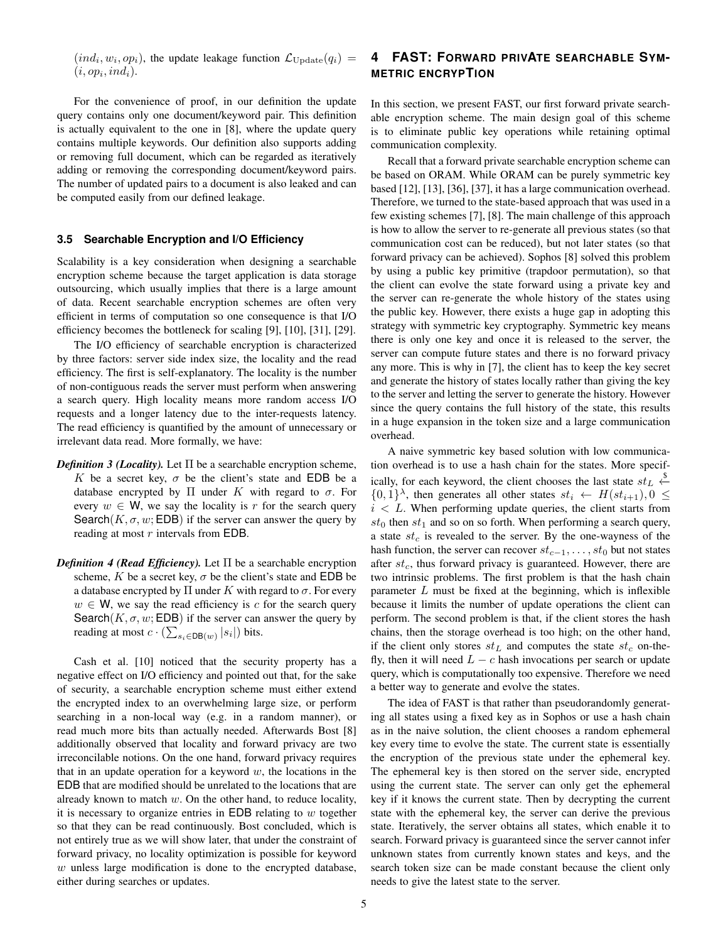$(ind_i, w_i, op_i)$ , the update leakage function  $\mathcal{L}_{Update}(q_i)$  =  $(i, op<sub>i</sub>, ind<sub>i</sub>).$ 

For the convenience of proof, in our definition the update query contains only one document/keyword pair. This definition is actually equivalent to the one in [8], where the update query contains multiple keywords. Our definition also supports adding or removing full document, which can be regarded as iteratively adding or removing the corresponding document/keyword pairs. The number of updated pairs to a document is also leaked and can be computed easily from our defined leakage.

#### **3.5 Searchable Encryption and I/O Efficiency**

Scalability is a key consideration when designing a searchable encryption scheme because the target application is data storage outsourcing, which usually implies that there is a large amount of data. Recent searchable encryption schemes are often very efficient in terms of computation so one consequence is that I/O efficiency becomes the bottleneck for scaling [9], [10], [31], [29].

The I/O efficiency of searchable encryption is characterized by three factors: server side index size, the locality and the read efficiency. The first is self-explanatory. The locality is the number of non-contiguous reads the server must perform when answering a search query. High locality means more random access I/O requests and a longer latency due to the inter-requests latency. The read efficiency is quantified by the amount of unnecessary or irrelevant data read. More formally, we have:

- *Definition 3 (Locality).* Let  $\Pi$  be a searchable encryption scheme, K be a secret key,  $\sigma$  be the client's state and EDB be a database encrypted by  $\Pi$  under K with regard to  $\sigma$ . For every  $w \in W$ , we say the locality is r for the search query Search(K,  $\sigma$ , w; EDB) if the server can answer the query by reading at most r intervals from EDB.
- *Definition 4 (Read Efficiency).* Let  $\Pi$  be a searchable encryption scheme, K be a secret key,  $\sigma$  be the client's state and EDB be a database encrypted by  $\Pi$  under K with regard to  $\sigma$ . For every  $w \in W$ , we say the read efficiency is c for the search query Search( $K, \sigma, w$ ; EDB) if the server can answer the query by reading at most  $c \cdot (\sum_{s_i \in \text{DB}(w)} |s_i|)$  bits.

Cash et al. [10] noticed that the security property has a negative effect on I/O efficiency and pointed out that, for the sake of security, a searchable encryption scheme must either extend the encrypted index to an overwhelming large size, or perform searching in a non-local way (e.g. in a random manner), or read much more bits than actually needed. Afterwards Bost [8] additionally observed that locality and forward privacy are two irreconcilable notions. On the one hand, forward privacy requires that in an update operation for a keyword  $w$ , the locations in the EDB that are modified should be unrelated to the locations that are already known to match  $w$ . On the other hand, to reduce locality, it is necessary to organize entries in EDB relating to  $w$  together so that they can be read continuously. Bost concluded, which is not entirely true as we will show later, that under the constraint of forward privacy, no locality optimization is possible for keyword  $w$  unless large modification is done to the encrypted database, either during searches or updates.

# **4 FAST: FORWARD PRIVATE SEARCHABLE SYM-METRIC ENCRYPTION**

In this section, we present FAST, our first forward private searchable encryption scheme. The main design goal of this scheme is to eliminate public key operations while retaining optimal communication complexity.

Recall that a forward private searchable encryption scheme can be based on ORAM. While ORAM can be purely symmetric key based [12], [13], [36], [37], it has a large communication overhead. Therefore, we turned to the state-based approach that was used in a few existing schemes [7], [8]. The main challenge of this approach is how to allow the server to re-generate all previous states (so that communication cost can be reduced), but not later states (so that forward privacy can be achieved). Sophos [8] solved this problem by using a public key primitive (trapdoor permutation), so that the client can evolve the state forward using a private key and the server can re-generate the whole history of the states using the public key. However, there exists a huge gap in adopting this strategy with symmetric key cryptography. Symmetric key means there is only one key and once it is released to the server, the server can compute future states and there is no forward privacy any more. This is why in [7], the client has to keep the key secret and generate the history of states locally rather than giving the key to the server and letting the server to generate the history. However since the query contains the full history of the state, this results in a huge expansion in the token size and a large communication overhead.

A naive symmetric key based solution with low communication overhead is to use a hash chain for the states. More specifically, for each keyword, the client chooses the last state  $st_L \overset{\$}{\leftarrow}$  $\{0,1\}^{\lambda}$ , then generates all other states  $st_i \leftarrow H(st_{i+1}), 0 \leq$  $i < L$ . When performing update queries, the client starts from  $st_0$  then  $st_1$  and so on so forth. When performing a search query, a state  $st_c$  is revealed to the server. By the one-wayness of the hash function, the server can recover  $st_{c-1}, \ldots, st_0$  but not states after  $st_c$ , thus forward privacy is guaranteed. However, there are two intrinsic problems. The first problem is that the hash chain parameter  $L$  must be fixed at the beginning, which is inflexible because it limits the number of update operations the client can perform. The second problem is that, if the client stores the hash chains, then the storage overhead is too high; on the other hand, if the client only stores  $st_L$  and computes the state  $st_c$  on-thefly, then it will need  $L - c$  hash invocations per search or update query, which is computationally too expensive. Therefore we need a better way to generate and evolve the states.

The idea of FAST is that rather than pseudorandomly generating all states using a fixed key as in Sophos or use a hash chain as in the naive solution, the client chooses a random ephemeral key every time to evolve the state. The current state is essentially the encryption of the previous state under the ephemeral key. The ephemeral key is then stored on the server side, encrypted using the current state. The server can only get the ephemeral key if it knows the current state. Then by decrypting the current state with the ephemeral key, the server can derive the previous state. Iteratively, the server obtains all states, which enable it to search. Forward privacy is guaranteed since the server cannot infer unknown states from currently known states and keys, and the search token size can be made constant because the client only needs to give the latest state to the server.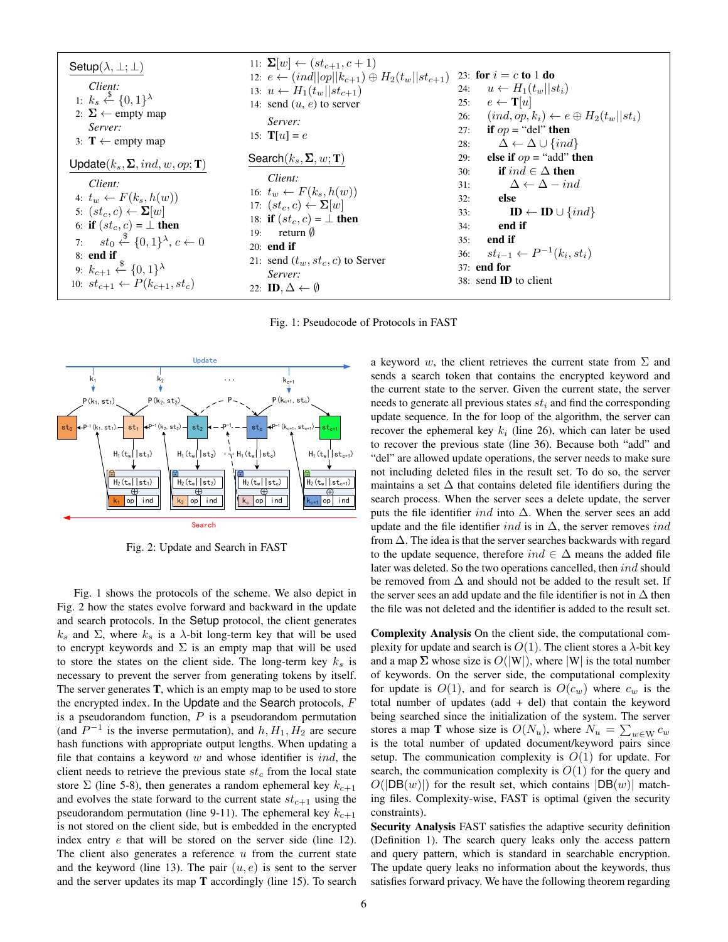| Setup( $\lambda, \pm, \pm$ )               | 11: $\Sigma[w] \leftarrow (st_{c+1}, c+1)$        | 23: for $i = c$ to 1 do                                   |                         |
|--------------------------------------------|---------------------------------------------------|-----------------------------------------------------------|-------------------------|
| Client:                                    | 1: $k_s \stackrel{k}{\leftarrow} \{0,1\}^\lambda$ | 14: send $(u, e)$ to server                               | 25: $e \leftarrow T[u]$ |
| 2: $\Sigma \leftarrow$ empty map           | 15: $T[u] = e$                                    | 26: $(ind, op, k_i) \leftarrow e \oplus H_2(t_w    st_i)$ |                         |
| 3: $T \leftarrow$ empty map                | 15: $T[u] = e$                                    | 27: if $op = \text{"del" then}$                           |                         |
| 3: $\Delta \leftarrow \Delta \cup \{ind\}$ | 39: $\Delta \leftarrow \Delta \cup \{ind\}$       |                                                           |                         |
| 14: $\text{send}(u, e)$ to server          | 25: $e \leftarrow T[u]$                           |                                                           |                         |
| 27: if $op = \text{"del" then}$            | 28: $\Delta \leftarrow \Delta \cup \{ind\}$       |                                                           |                         |
| 18: If $(k_s, \Sigma, ind, w, op; T)$      | 16: $t_w \leftarrow F(k_s, h(w))$                 | 31: $\Delta \leftarrow \Delta - ind$                      |                         |
| 30: If $ind \in \Delta$ then               | 32: else                                          |                                                           |                         |
| 4: $t_w \leftarrow F(k_s, h(w))$           | 17: $(st_c, c) \leftarrow \Sigma[w]$              | 32: else                                                  |                         |
| 5: $(st_c, c) \leftarrow \Sigma[w]$        | 18: If $(st_c, c) = \bot$ then                    | 34: end if                                                |                         |
| 6: If $(st_c, c) = \bot$ then              |                                                   |                                                           |                         |

Fig. 1: Pseudocode of Protocols in FAST



Fig. 2: Update and Search in FAST

Fig. 1 shows the protocols of the scheme. We also depict in Fig. 2 how the states evolve forward and backward in the update and search protocols. In the Setup protocol, the client generates  $k_s$  and  $\Sigma$ , where  $k_s$  is a  $\lambda$ -bit long-term key that will be used to encrypt keywords and  $\Sigma$  is an empty map that will be used to store the states on the client side. The long-term key  $k<sub>s</sub>$  is necessary to prevent the server from generating tokens by itself. The server generates T, which is an empty map to be used to store the encrypted index. In the Update and the Search protocols,  $F$ is a pseudorandom function,  $P$  is a pseudorandom permutation (and  $P^{-1}$  is the inverse permutation), and  $h, H_1, H_2$  are secure hash functions with appropriate output lengths. When updating a file that contains a keyword  $w$  and whose identifier is  $ind$ , the client needs to retrieve the previous state  $st_c$  from the local state store  $\Sigma$  (line 5-8), then generates a random ephemeral key  $k_{c+1}$ and evolves the state forward to the current state  $st_{c+1}$  using the pseudorandom permutation (line 9-11). The ephemeral key  $k_{c+1}$ is not stored on the client side, but is embedded in the encrypted index entry e that will be stored on the server side (line 12). The client also generates a reference  $u$  from the current state and the keyword (line 13). The pair  $(u, e)$  is sent to the server and the server updates its map T accordingly (line 15). To search

 $\frac{\theta}{\left|\frac{k_2}{2}\right| \circ \rho}$  ind  $\frac{\theta}{\left|\frac{k_2}{2}\right| \circ \rho}$  ind  $\frac{\theta}{\left|\frac{k_1}{2}\right| \circ \rho}$  ind search process. When the server sees a delete update, the server  $\left\{\frac{||\mathbf{s}t_{\rm e}||\mathbf{s}t_{\rm e}||\mathbf{s}t_{\rm e}}{|\mathbf{\theta}|}\right\}$  maintains a set  $\Delta$  that contains deleted file identifiers during the a keyword w, the client retrieves the current state from  $\Sigma$  and sends a search token that contains the encrypted keyword and the current state to the server. Given the current state, the server needs to generate all previous states  $st_i$  and find the corresponding update sequence. In the for loop of the algorithm, the server can recover the ephemeral key  $k_i$  (line 26), which can later be used to recover the previous state (line 36). Because both "add" and "del" are allowed update operations, the server needs to make sure not including deleted files in the result set. To do so, the server puts the file identifier ind into  $\Delta$ . When the server sees an add update and the file identifier *ind* is in  $\Delta$ , the server removes *ind* from  $\Delta$ . The idea is that the server searches backwards with regard to the update sequence, therefore  $ind \in \Delta$  means the added file later was deleted. So the two operations cancelled, then ind should be removed from  $\Delta$  and should not be added to the result set. If the server sees an add update and the file identifier is not in  $\Delta$  then the file was not deleted and the identifier is added to the result set.

> Complexity Analysis On the client side, the computational complexity for update and search is  $O(1)$ . The client stores a  $\lambda$ -bit key and a map  $\Sigma$  whose size is  $O(|W|)$ , where  $|W|$  is the total number of keywords. On the server side, the computational complexity for update is  $O(1)$ , and for search is  $O(c_w)$  where  $c_w$  is the total number of updates  $(add + del)$  that contain the keyword being searched since the initialization of the system. The server stores a map T whose size is  $O(N_u)$ , where  $N_u = \sum_{w \in W} c_w$ is the total number of updated document/keyword pairs since setup. The communication complexity is  $O(1)$  for update. For search, the communication complexity is  $O(1)$  for the query and  $O(|DB(w)|)$  for the result set, which contains  $|DB(w)|$  matching files. Complexity-wise, FAST is optimal (given the security constraints).

> Security Analysis FAST satisfies the adaptive security definition (Definition 1). The search query leaks only the access pattern and query pattern, which is standard in searchable encryption. The update query leaks no information about the keywords, thus satisfies forward privacy. We have the following theorem regarding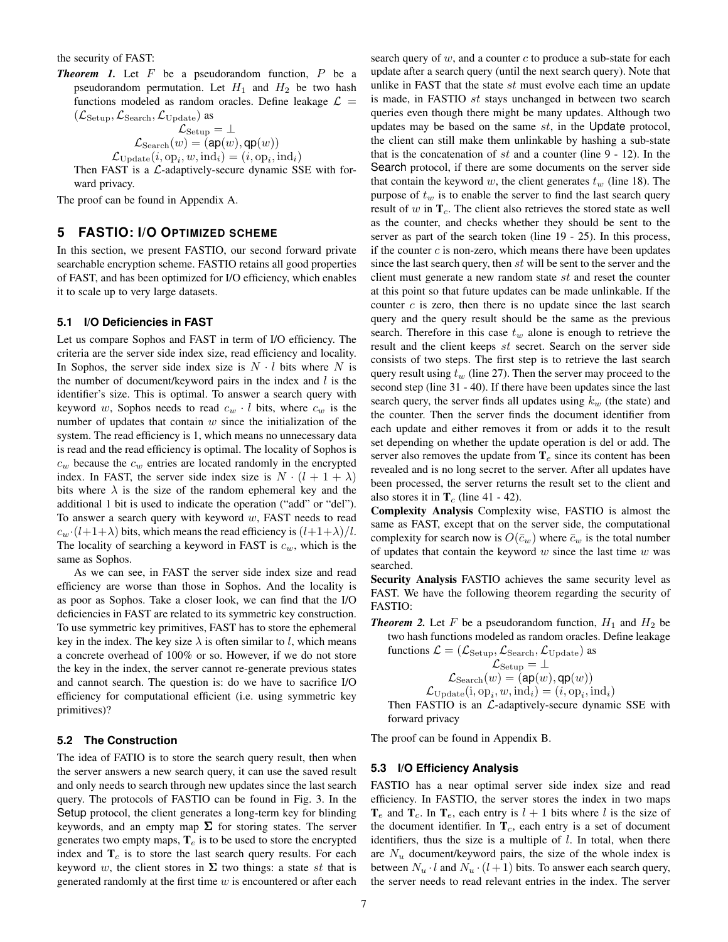the security of FAST:

**Theorem 1.** Let  $F$  be a pseudorandom function,  $P$  be a pseudorandom permutation. Let  $H_1$  and  $H_2$  be two hash functions modeled as random oracles. Define leakage  $\mathcal{L} =$  $(\mathcal{L}_{\text{Setup}},\mathcal{L}_{\text{Search}},\mathcal{L}_{\text{Update}})$  as

$$
\mathcal{L}_{\text{Setup}} = \bot \newline \mathcal{L}_{\text{Search}}(w) = (\texttt{ap}(w), \texttt{qp}(w)) \newline \mathcal{L}_{\text{Update}}(i, \texttt{op}_i, w, \text{ind}_i) = (i, \texttt{op}_i, \text{ind}_i)
$$

Then FAST is a  $\mathcal{L}$ -adaptively-secure dynamic SSE with forward privacy.

The proof can be found in Appendix A.

## **5 FASTIO: I/O OPTIMIZED SCHEME**

In this section, we present FASTIO, our second forward private searchable encryption scheme. FASTIO retains all good properties of FAST, and has been optimized for I/O efficiency, which enables it to scale up to very large datasets.

# **5.1 I/O Deficiencies in FAST**

Let us compare Sophos and FAST in term of I/O efficiency. The criteria are the server side index size, read efficiency and locality. In Sophos, the server side index size is  $N \cdot l$  bits where N is the number of document/keyword pairs in the index and  $l$  is the identifier's size. This is optimal. To answer a search query with keyword w, Sophos needs to read  $c_w \cdot l$  bits, where  $c_w$  is the number of updates that contain  $w$  since the initialization of the system. The read efficiency is 1, which means no unnecessary data is read and the read efficiency is optimal. The locality of Sophos is  $c_w$  because the  $c_w$  entries are located randomly in the encrypted index. In FAST, the server side index size is  $N \cdot (l + 1 + \lambda)$ bits where  $\lambda$  is the size of the random ephemeral key and the additional 1 bit is used to indicate the operation ("add" or "del"). To answer a search query with keyword  $w$ , FAST needs to read  $c_w \cdot (l+1+\lambda)$  bits, which means the read efficiency is  $(l+1+\lambda)/l$ . The locality of searching a keyword in FAST is  $c_w$ , which is the same as Sophos.

As we can see, in FAST the server side index size and read efficiency are worse than those in Sophos. And the locality is as poor as Sophos. Take a closer look, we can find that the I/O deficiencies in FAST are related to its symmetric key construction. To use symmetric key primitives, FAST has to store the ephemeral key in the index. The key size  $\lambda$  is often similar to l, which means a concrete overhead of 100% or so. However, if we do not store the key in the index, the server cannot re-generate previous states and cannot search. The question is: do we have to sacrifice I/O efficiency for computational efficient (i.e. using symmetric key primitives)?

#### **5.2 The Construction**

The idea of FATIO is to store the search query result, then when the server answers a new search query, it can use the saved result and only needs to search through new updates since the last search query. The protocols of FASTIO can be found in Fig. 3. In the Setup protocol, the client generates a long-term key for blinding keywords, and an empty map  $\Sigma$  for storing states. The server generates two empty maps,  $T_e$  is to be used to store the encrypted index and  $T_c$  is to store the last search query results. For each keyword w, the client stores in  $\Sigma$  two things: a state st that is generated randomly at the first time  $w$  is encountered or after each

search query of  $w$ , and a counter  $c$  to produce a sub-state for each update after a search query (until the next search query). Note that unlike in FAST that the state  $st$  must evolve each time an update is made, in FASTIO st stays unchanged in between two search queries even though there might be many updates. Although two updates may be based on the same  $st$ , in the Update protocol, the client can still make them unlinkable by hashing a sub-state that is the concatenation of st and a counter (line  $9 - 12$ ). In the Search protocol, if there are some documents on the server side that contain the keyword w, the client generates  $t_w$  (line 18). The purpose of  $t_w$  is to enable the server to find the last search query result of  $w$  in  $T_c$ . The client also retrieves the stored state as well as the counter, and checks whether they should be sent to the server as part of the search token (line 19 - 25). In this process, if the counter  $c$  is non-zero, which means there have been updates since the last search query, then st will be sent to the server and the client must generate a new random state st and reset the counter at this point so that future updates can be made unlinkable. If the counter  $c$  is zero, then there is no update since the last search query and the query result should be the same as the previous search. Therefore in this case  $t_w$  alone is enough to retrieve the result and the client keeps  $st$  secret. Search on the server side consists of two steps. The first step is to retrieve the last search query result using  $t_w$  (line 27). Then the server may proceed to the second step (line 31 - 40). If there have been updates since the last search query, the server finds all updates using  $k_w$  (the state) and the counter. Then the server finds the document identifier from each update and either removes it from or adds it to the result set depending on whether the update operation is del or add. The server also removes the update from  $T_e$  since its content has been revealed and is no long secret to the server. After all updates have been processed, the server returns the result set to the client and also stores it in  $T_c$  (line 41 - 42).

Complexity Analysis Complexity wise, FASTIO is almost the same as FAST, except that on the server side, the computational complexity for search now is  $O(\bar{c}_w)$  where  $\bar{c}_w$  is the total number of updates that contain the keyword  $w$  since the last time  $w$  was searched.

Security Analysis FASTIO achieves the same security level as FAST. We have the following theorem regarding the security of FASTIO:

**Theorem 2.** Let F be a pseudorandom function,  $H_1$  and  $H_2$  be two hash functions modeled as random oracles. Define leakage

functions 
$$
\mathcal{L} = (\mathcal{L}_{\text{Setup}}, \mathcal{L}_{\text{Search}}, \mathcal{L}_{\text{Update}})
$$
 as  $\mathcal{L}_{\text{Setup}} = \bot$ 
$$
\mathcal{L}_{\text{Search}}(w) = (\mathsf{ap}(w), \mathsf{qp}(w))
$$
 $\mathcal{L}_{\text{Update}}(i, \text{op}_i, w, \text{ind}_i) = (i, \text{op}_i, \text{ind}_i)$   
\nThen FASTIO is an  $\mathcal{L}\text{-adaptively-secure dynamic SSE with}$ 

forward privacy

The proof can be found in Appendix B.

#### **5.3 I/O Efficiency Analysis**

FASTIO has a near optimal server side index size and read efficiency. In FASTIO, the server stores the index in two maps  $T_e$  and  $T_c$ . In  $T_e$ , each entry is  $l + 1$  bits where l is the size of the document identifier. In  $T_c$ , each entry is a set of document identifiers, thus the size is a multiple of  $l$ . In total, when there are  $N_u$  document/keyword pairs, the size of the whole index is between  $N_u \cdot l$  and  $N_u \cdot (l + 1)$  bits. To answer each search query, the server needs to read relevant entries in the index. The server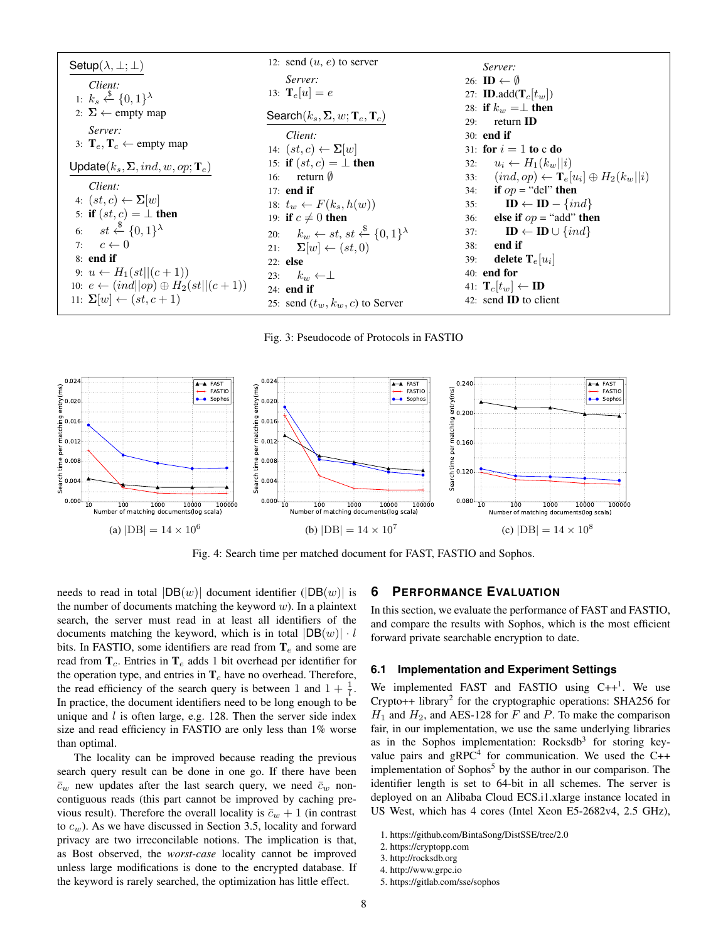| Setup $(\lambda, \perp; \perp)$                     | 12: send $(u, e)$ to server                                             | Server:                                                   |
|-----------------------------------------------------|-------------------------------------------------------------------------|-----------------------------------------------------------|
| Client:                                             | Server:                                                                 | 26: $\mathbf{ID} \leftarrow \emptyset$                    |
| 1: $k_s \xleftarrow{\$} \{0,1\}^{\lambda}$          | 13: $\mathbf{T}_e[u] = e$                                               | 27: <b>ID.</b> add $(\mathbf{T}_c[t_w])$                  |
| 2: $\Sigma$ ← empty map                             |                                                                         | 28: if $k_w = \perp$ then                                 |
|                                                     | Search $(k_s, \Sigma, w; T_e, T_c)$                                     | return <b>ID</b><br>29:                                   |
| Server:                                             | Client:                                                                 | $30:$ end if                                              |
| 3: $T_e, T_c \leftarrow$ empty map                  | 14: $(st, c) \leftarrow \Sigma[w]$                                      | 31: for $i=1$ to c do                                     |
| $Update(k_s, \Sigma, ind, w, op; T_e)$              | 15: if $(st, c) = \perp$ then                                           | $u_i \leftarrow H_1(k_w  i)$<br>32:                       |
|                                                     | return $\emptyset$<br>16:                                               | $(ind, op) \leftarrow T_e[u_i] \oplus H_2(k_w  i)$<br>33: |
| Client:                                             | $17:$ end if                                                            | if $op =$ "del" then<br>34:                               |
| 4: $(st, c) \leftarrow \Sigma[w]$                   | 18: $t_w \leftarrow F(k_s, h(w))$                                       | $\mathbf{ID} \leftarrow \mathbf{ID} - \{ind\}$<br>35:     |
| 5: if $(st, c) = \perp$ then                        | 19: if $c \neq 0$ then                                                  | else if $op =$ "add" then<br>36:                          |
| 6: $st \stackrel{\$}{\leftarrow} \{0,1\}^{\lambda}$ | 20: $k_w \leftarrow st, st \stackrel{\$}{\leftarrow} \{0,1\}^{\lambda}$ | $\mathbf{ID} \leftarrow \mathbf{ID} \cup \{ind\}$<br>37:  |
| 7: $c \leftarrow 0$                                 | 21: $\mathbf{\Sigma}[w] \leftarrow (st, 0)$                             | end if<br>38:                                             |
| $8:$ end if                                         | 22: else                                                                | delete $\mathbf{T}_e[u_i]$<br>39:                         |
| 9: $u \leftarrow H_1(st  (c+1))$                    | 23: $k_w \leftarrow \perp$                                              | $40:$ end for                                             |
| 10: $e \leftarrow (ind  op) \oplus H_2(st  (c+1))$  | $24:$ end if                                                            | 41: $\mathbf{T}_c[t_w] \leftarrow \mathbf{ID}$            |
| 11: $\sum[w] \leftarrow (st, c+1)$                  | 25: send $(t_w, k_w, c)$ to Server                                      | 42: send <b>ID</b> to client                              |

Fig. 3: Pseudocode of Protocols in FASTIO



Fig. 4: Search time per matched document for FAST, FASTIO and Sophos.

needs to read in total  $|DB(w)|$  document identifier  $(|DB(w)|$  is the number of documents matching the keyword  $w$ ). In a plaintext search, the server must read in at least all identifiers of the documents matching the keyword, which is in total  $|DB(w)| \cdot l$ bits. In FASTIO, some identifiers are read from  $T_e$  and some are read from  $T_c$ . Entries in  $T_e$  adds 1 bit overhead per identifier for the operation type, and entries in  $T_c$  have no overhead. Therefore, the read efficiency of the search query is between 1 and  $1 + \frac{1}{l}$ . In practice, the document identifiers need to be long enough to be unique and  $l$  is often large, e.g. 128. Then the server side index size and read efficiency in FASTIO are only less than 1% worse than optimal.

The locality can be improved because reading the previous search query result can be done in one go. If there have been  $\bar{c}_w$  new updates after the last search query, we need  $\bar{c}_w$  noncontiguous reads (this part cannot be improved by caching previous result). Therefore the overall locality is  $\bar{c}_w + 1$  (in contrast to  $c_w$ ). As we have discussed in Section 3.5, locality and forward privacy are two irreconcilable notions. The implication is that, as Bost observed, the *worst-case* locality cannot be improved unless large modifications is done to the encrypted database. If the keyword is rarely searched, the optimization has little effect.

## **6 PERFORMANCE EVALUATION**

In this section, we evaluate the performance of FAST and FASTIO, and compare the results with Sophos, which is the most efficient forward private searchable encryption to date.

#### **6.1 Implementation and Experiment Settings**

We implemented FAST and FASTIO using  $C++^1$ . We use Crypto++ library<sup>2</sup> for the cryptographic operations: SHA256 for  $H_1$  and  $H_2$ , and AES-128 for F and P. To make the comparison fair, in our implementation, we use the same underlying libraries as in the Sophos implementation: Rocksdb<sup>3</sup> for storing keyvalue pairs and  $gRPC<sup>4</sup>$  for communication. We used the C++ implementation of Sophos<sup>5</sup> by the author in our comparison. The identifier length is set to 64-bit in all schemes. The server is deployed on an Alibaba Cloud ECS.i1.xlarge instance located in US West, which has 4 cores (Intel Xeon E5-2682v4, 2.5 GHz),

<sup>1.</sup> https://github.com/BintaSong/DistSSE/tree/2.0

<sup>2.</sup> https://cryptopp.com

<sup>3.</sup> http://rocksdb.org

<sup>4.</sup> http://www.grpc.io

<sup>5.</sup> https://gitlab.com/sse/sophos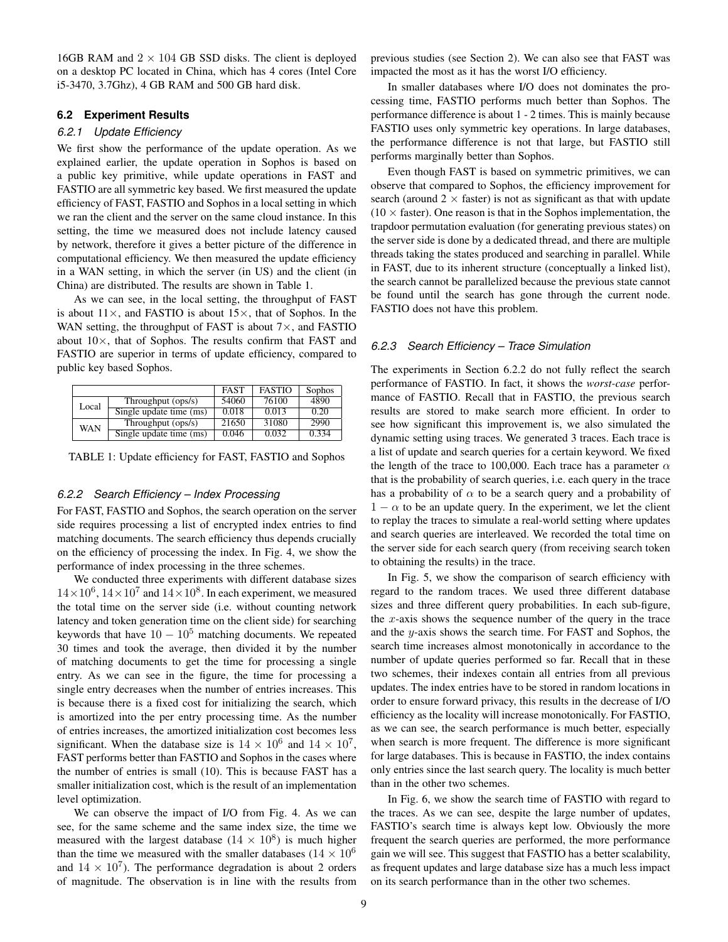16GB RAM and  $2 \times 104$  GB SSD disks. The client is deployed on a desktop PC located in China, which has 4 cores (Intel Core i5-3470, 3.7Ghz), 4 GB RAM and 500 GB hard disk.

#### **6.2 Experiment Results**

## *6.2.1 Update Efficiency*

We first show the performance of the update operation. As we explained earlier, the update operation in Sophos is based on a public key primitive, while update operations in FAST and FASTIO are all symmetric key based. We first measured the update efficiency of FAST, FASTIO and Sophos in a local setting in which we ran the client and the server on the same cloud instance. In this setting, the time we measured does not include latency caused by network, therefore it gives a better picture of the difference in computational efficiency. We then measured the update efficiency in a WAN setting, in which the server (in US) and the client (in China) are distributed. The results are shown in Table 1.

As we can see, in the local setting, the throughput of FAST is about  $11\times$ , and FASTIO is about  $15\times$ , that of Sophos. In the WAN setting, the throughput of FAST is about  $7\times$ , and FASTIO about  $10\times$ , that of Sophos. The results confirm that FAST and FASTIO are superior in terms of update efficiency, compared to public key based Sophos.

|            |                         | <b>FAST</b> | <b>FASTIO</b> | Sophos |
|------------|-------------------------|-------------|---------------|--------|
| Local      | Throughput (ops/s)      | 54060       | 76100         | 4890   |
|            | Single update time (ms) | 0.018       | 0.013         | 0.20   |
| <b>WAN</b> | Throughput (ops/s)      | 21650       | 31080         | 2990   |
|            | Single update time (ms) | 0.046       | 0.032         | 0.334  |

TABLE 1: Update efficiency for FAST, FASTIO and Sophos

#### *6.2.2 Search Efficiency – Index Processing*

For FAST, FASTIO and Sophos, the search operation on the server side requires processing a list of encrypted index entries to find matching documents. The search efficiency thus depends crucially on the efficiency of processing the index. In Fig. 4, we show the performance of index processing in the three schemes.

We conducted three experiments with different database sizes  $14 \times 10^6$ ,  $14 \times 10^7$  and  $14 \times 10^8$ . In each experiment, we measured the total time on the server side (i.e. without counting network latency and token generation time on the client side) for searching keywords that have  $10 - 10^5$  matching documents. We repeated 30 times and took the average, then divided it by the number of matching documents to get the time for processing a single entry. As we can see in the figure, the time for processing a single entry decreases when the number of entries increases. This is because there is a fixed cost for initializing the search, which is amortized into the per entry processing time. As the number of entries increases, the amortized initialization cost becomes less significant. When the database size is  $14 \times 10^6$  and  $14 \times 10^7$ , FAST performs better than FASTIO and Sophos in the cases where the number of entries is small (10). This is because FAST has a smaller initialization cost, which is the result of an implementation level optimization.

We can observe the impact of I/O from Fig. 4. As we can see, for the same scheme and the same index size, the time we measured with the largest database  $(14 \times 10^8)$  is much higher than the time we measured with the smaller databases ( $14 \times 10^6$ ) and  $14 \times 10^7$ ). The performance degradation is about 2 orders of magnitude. The observation is in line with the results from previous studies (see Section 2). We can also see that FAST was impacted the most as it has the worst I/O efficiency.

In smaller databases where I/O does not dominates the processing time, FASTIO performs much better than Sophos. The performance difference is about 1 - 2 times. This is mainly because FASTIO uses only symmetric key operations. In large databases, the performance difference is not that large, but FASTIO still performs marginally better than Sophos.

Even though FAST is based on symmetric primitives, we can observe that compared to Sophos, the efficiency improvement for search (around  $2 \times$  faster) is not as significant as that with update  $(10 \times$  faster). One reason is that in the Sophos implementation, the trapdoor permutation evaluation (for generating previous states) on the server side is done by a dedicated thread, and there are multiple threads taking the states produced and searching in parallel. While in FAST, due to its inherent structure (conceptually a linked list), the search cannot be parallelized because the previous state cannot be found until the search has gone through the current node. FASTIO does not have this problem.

## *6.2.3 Search Efficiency – Trace Simulation*

The experiments in Section 6.2.2 do not fully reflect the search performance of FASTIO. In fact, it shows the *worst-case* performance of FASTIO. Recall that in FASTIO, the previous search results are stored to make search more efficient. In order to see how significant this improvement is, we also simulated the dynamic setting using traces. We generated 3 traces. Each trace is a list of update and search queries for a certain keyword. We fixed the length of the trace to 100,000. Each trace has a parameter  $\alpha$ that is the probability of search queries, i.e. each query in the trace has a probability of  $\alpha$  to be a search query and a probability of  $1 - \alpha$  to be an update query. In the experiment, we let the client to replay the traces to simulate a real-world setting where updates and search queries are interleaved. We recorded the total time on the server side for each search query (from receiving search token to obtaining the results) in the trace.

In Fig. 5, we show the comparison of search efficiency with regard to the random traces. We used three different database sizes and three different query probabilities. In each sub-figure, the x-axis shows the sequence number of the query in the trace and the y-axis shows the search time. For FAST and Sophos, the search time increases almost monotonically in accordance to the number of update queries performed so far. Recall that in these two schemes, their indexes contain all entries from all previous updates. The index entries have to be stored in random locations in order to ensure forward privacy, this results in the decrease of I/O efficiency as the locality will increase monotonically. For FASTIO, as we can see, the search performance is much better, especially when search is more frequent. The difference is more significant for large databases. This is because in FASTIO, the index contains only entries since the last search query. The locality is much better than in the other two schemes.

In Fig. 6, we show the search time of FASTIO with regard to the traces. As we can see, despite the large number of updates, FASTIO's search time is always kept low. Obviously the more frequent the search queries are performed, the more performance gain we will see. This suggest that FASTIO has a better scalability, as frequent updates and large database size has a much less impact on its search performance than in the other two schemes.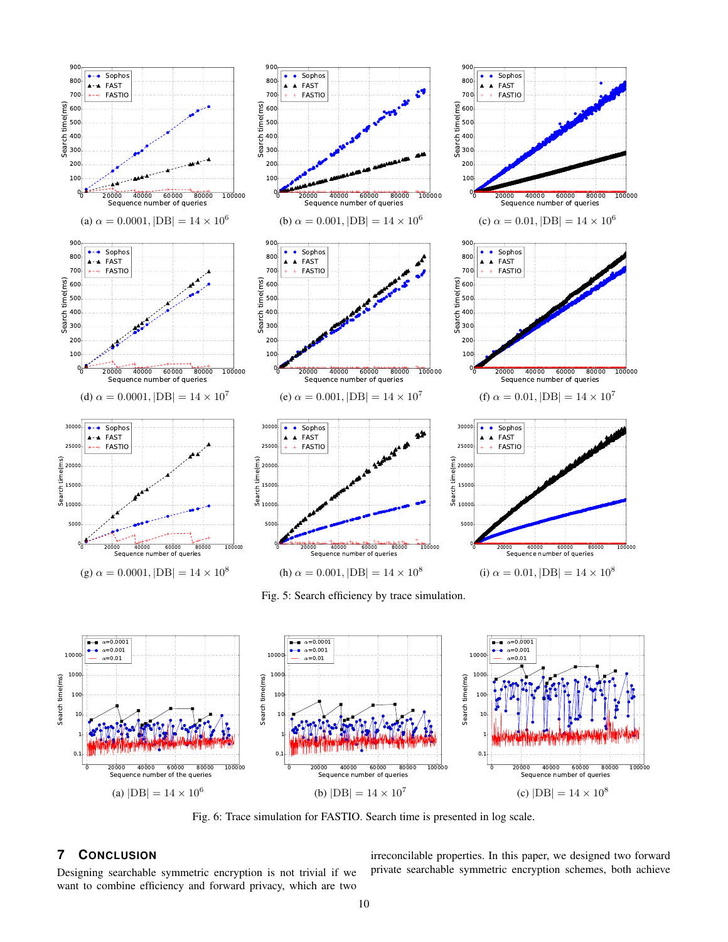



Fig. 6: Trace simulation for FASTIO. Search time is presented in log scale.

# **7 CONCLUSION**

Designing searchable symmetric encryption is not trivial if we want to combine efficiency and forward privacy, which are two irreconcilable properties. In this paper, we designed two forward private searchable symmetric encryption schemes, both achieve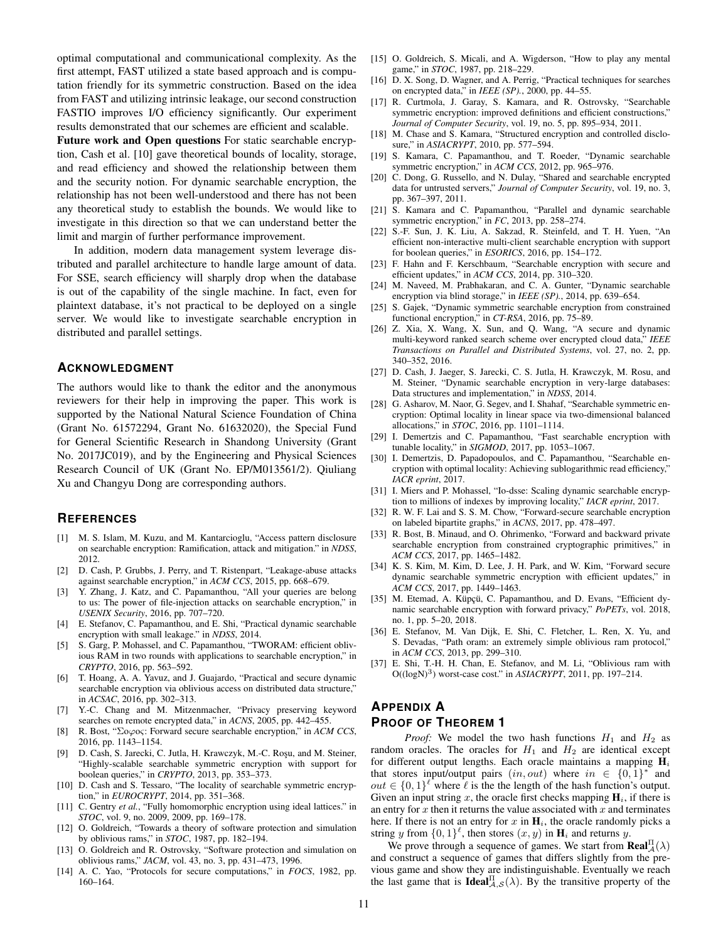optimal computational and communicational complexity. As the first attempt, FAST utilized a state based approach and is computation friendly for its symmetric construction. Based on the idea from FAST and utilizing intrinsic leakage, our second construction FASTIO improves I/O efficiency significantly. Our experiment results demonstrated that our schemes are efficient and scalable.

Future work and Open questions For static searchable encryption, Cash et al. [10] gave theoretical bounds of locality, storage, and read efficiency and showed the relationship between them and the security notion. For dynamic searchable encryption, the relationship has not been well-understood and there has not been any theoretical study to establish the bounds. We would like to investigate in this direction so that we can understand better the limit and margin of further performance improvement.

In addition, modern data management system leverage distributed and parallel architecture to handle large amount of data. For SSE, search efficiency will sharply drop when the database is out of the capability of the single machine. In fact, even for plaintext database, it's not practical to be deployed on a single server. We would like to investigate searchable encryption in distributed and parallel settings.

# **ACKNOWLEDGMENT**

The authors would like to thank the editor and the anonymous reviewers for their help in improving the paper. This work is supported by the National Natural Science Foundation of China (Grant No. 61572294, Grant No. 61632020), the Special Fund for General Scientific Research in Shandong University (Grant No. 2017JC019), and by the Engineering and Physical Sciences Research Council of UK (Grant No. EP/M013561/2). Qiuliang Xu and Changyu Dong are corresponding authors.

## **REFERENCES**

- [1] M. S. Islam, M. Kuzu, and M. Kantarcioglu, "Access pattern disclosure on searchable encryption: Ramification, attack and mitigation." in *NDSS*, 2012.
- [2] D. Cash, P. Grubbs, J. Perry, and T. Ristenpart, "Leakage-abuse attacks against searchable encryption," in *ACM CCS*, 2015, pp. 668–679.
- [3] Y. Zhang, J. Katz, and C. Papamanthou, "All your queries are belong to us: The power of file-injection attacks on searchable encryption," in *USENIX Security*, 2016, pp. 707–720.
- [4] E. Stefanov, C. Papamanthou, and E. Shi, "Practical dynamic searchable encryption with small leakage." in *NDSS*, 2014.
- [5] S. Garg, P. Mohassel, and C. Papamanthou, "TWORAM: efficient oblivious RAM in two rounds with applications to searchable encryption," in *CRYPTO*, 2016, pp. 563–592.
- [6] T. Hoang, A. A. Yavuz, and J. Guajardo, "Practical and secure dynamic searchable encryption via oblivious access on distributed data structure," in *ACSAC*, 2016, pp. 302–313.
- [7] Y.-C. Chang and M. Mitzenmacher, "Privacy preserving keyword searches on remote encrypted data," in *ACNS*, 2005, pp. 442–455.
- [8] R. Bost, "Σoϕoς: Forward secure searchable encryption," in *ACM CCS*, 2016, pp. 1143–1154.
- [9] D. Cash, S. Jarecki, C. Jutla, H. Krawczyk, M.-C. Roşu, and M. Steiner, "Highly-scalable searchable symmetric encryption with support for boolean queries," in *CRYPTO*, 2013, pp. 353–373.
- [10] D. Cash and S. Tessaro, "The locality of searchable symmetric encryption," in *EUROCRYPT*, 2014, pp. 351–368.
- [11] C. Gentry *et al.*, "Fully homomorphic encryption using ideal lattices." in *STOC*, vol. 9, no. 2009, 2009, pp. 169–178.
- [12] O. Goldreich, "Towards a theory of software protection and simulation by oblivious rams," in *STOC*, 1987, pp. 182–194.
- [13] O. Goldreich and R. Ostrovsky, "Software protection and simulation on oblivious rams," *JACM*, vol. 43, no. 3, pp. 431–473, 1996.
- [14] A. C. Yao, "Protocols for secure computations," in *FOCS*, 1982, pp. 160–164.
- [15] O. Goldreich, S. Micali, and A. Wigderson, "How to play any mental game," in *STOC*, 1987, pp. 218–229.
- [16] D. X. Song, D. Wagner, and A. Perrig, "Practical techniques for searches on encrypted data," in *IEEE (SP).*, 2000, pp. 44–55.
- [17] R. Curtmola, J. Garay, S. Kamara, and R. Ostrovsky, "Searchable symmetric encryption: improved definitions and efficient constructions," *Journal of Computer Security*, vol. 19, no. 5, pp. 895–934, 2011.
- [18] M. Chase and S. Kamara, "Structured encryption and controlled disclosure," in *ASIACRYPT*, 2010, pp. 577–594.
- [19] S. Kamara, C. Papamanthou, and T. Roeder, "Dynamic searchable symmetric encryption," in *ACM CCS*, 2012, pp. 965–976.
- [20] C. Dong, G. Russello, and N. Dulay, "Shared and searchable encrypted data for untrusted servers," *Journal of Computer Security*, vol. 19, no. 3, pp. 367–397, 2011.
- [21] S. Kamara and C. Papamanthou, "Parallel and dynamic searchable symmetric encryption," in *FC*, 2013, pp. 258–274.
- [22] S.-F. Sun, J. K. Liu, A. Sakzad, R. Steinfeld, and T. H. Yuen, "An efficient non-interactive multi-client searchable encryption with support for boolean queries," in *ESORICS*, 2016, pp. 154–172.
- [23] F. Hahn and F. Kerschbaum, "Searchable encryption with secure and efficient updates," in *ACM CCS*, 2014, pp. 310–320.
- [24] M. Naveed, M. Prabhakaran, and C. A. Gunter, "Dynamic searchable encryption via blind storage," in *IEEE (SP).*, 2014, pp. 639–654.
- [25] S. Gajek, "Dynamic symmetric searchable encryption from constrained functional encryption," in *CT-RSA*, 2016, pp. 75–89.
- [26] Z. Xia, X. Wang, X. Sun, and Q. Wang, "A secure and dynamic multi-keyword ranked search scheme over encrypted cloud data," *IEEE Transactions on Parallel and Distributed Systems*, vol. 27, no. 2, pp. 340–352, 2016.
- [27] D. Cash, J. Jaeger, S. Jarecki, C. S. Jutla, H. Krawczyk, M. Rosu, and M. Steiner, "Dynamic searchable encryption in very-large databases: Data structures and implementation," in *NDSS*, 2014.
- [28] G. Asharov, M. Naor, G. Segev, and I. Shahaf, "Searchable symmetric encryption: Optimal locality in linear space via two-dimensional balanced allocations," in *STOC*, 2016, pp. 1101–1114.
- [29] I. Demertzis and C. Papamanthou, "Fast searchable encryption with tunable locality," in *SIGMOD*, 2017, pp. 1053–1067.
- [30] I. Demertzis, D. Papadopoulos, and C. Papamanthou, "Searchable encryption with optimal locality: Achieving sublogarithmic read efficiency," *IACR eprint*, 2017.
- [31] I. Miers and P. Mohassel, "Io-dsse: Scaling dynamic searchable encryption to millions of indexes by improving locality," *IACR eprint*, 2017.
- [32] R. W. F. Lai and S. S. M. Chow, "Forward-secure searchable encryption on labeled bipartite graphs," in *ACNS*, 2017, pp. 478–497.
- [33] R. Bost, B. Minaud, and O. Ohrimenko, "Forward and backward private searchable encryption from constrained cryptographic primitives," in *ACM CCS*, 2017, pp. 1465–1482.
- [34] K. S. Kim, M. Kim, D. Lee, J. H. Park, and W. Kim, "Forward secure dynamic searchable symmetric encryption with efficient updates," in *ACM CCS*, 2017, pp. 1449–1463.
- [35] M. Etemad, A. Küpçü, C. Papamanthou, and D. Evans, "Efficient dynamic searchable encryption with forward privacy," *PoPETs*, vol. 2018, no. 1, pp. 5–20, 2018.
- [36] E. Stefanov, M. Van Dijk, E. Shi, C. Fletcher, L. Ren, X. Yu, and S. Devadas, "Path oram: an extremely simple oblivious ram protocol," in *ACM CCS*, 2013, pp. 299–310.
- [37] E. Shi, T.-H. H. Chan, E. Stefanov, and M. Li, "Oblivious ram with O((logN)<sup>3</sup> ) worst-case cost." in *ASIACRYPT*, 2011, pp. 197–214.

# **APPENDIX A PROOF OF THEOREM 1**

*Proof:* We model the two hash functions  $H_1$  and  $H_2$  as random oracles. The oracles for  $H_1$  and  $H_2$  are identical except for different output lengths. Each oracle maintains a mapping  $H_i$ that stores input/output pairs  $(in,out)$  where  $in \in \{0,1\}^*$  and *out* ∈ {0, 1}<sup> $\ell$ </sup> where  $\ell$  is the the length of the hash function's output. Given an input string x, the oracle first checks mapping  $H_i$ , if there is an entry for  $x$  then it returns the value associated with  $x$  and terminates here. If there is not an entry for  $x$  in  $H_i$ , the oracle randomly picks a string y from  $\{0,1\}^{\ell}$ , then stores  $(x, y)$  in  $\mathbf{H}_i$  and returns y.

We prove through a sequence of games. We start from  $\text{Real}_{\mathcal{A}}^{\Pi}(\lambda)$ and construct a sequence of games that differs slightly from the previous game and show they are indistinguishable. Eventually we reach the last game that is **Ideal**  $A_{\lambda,S}^{[\Lambda]}(\lambda)$ . By the transitive property of the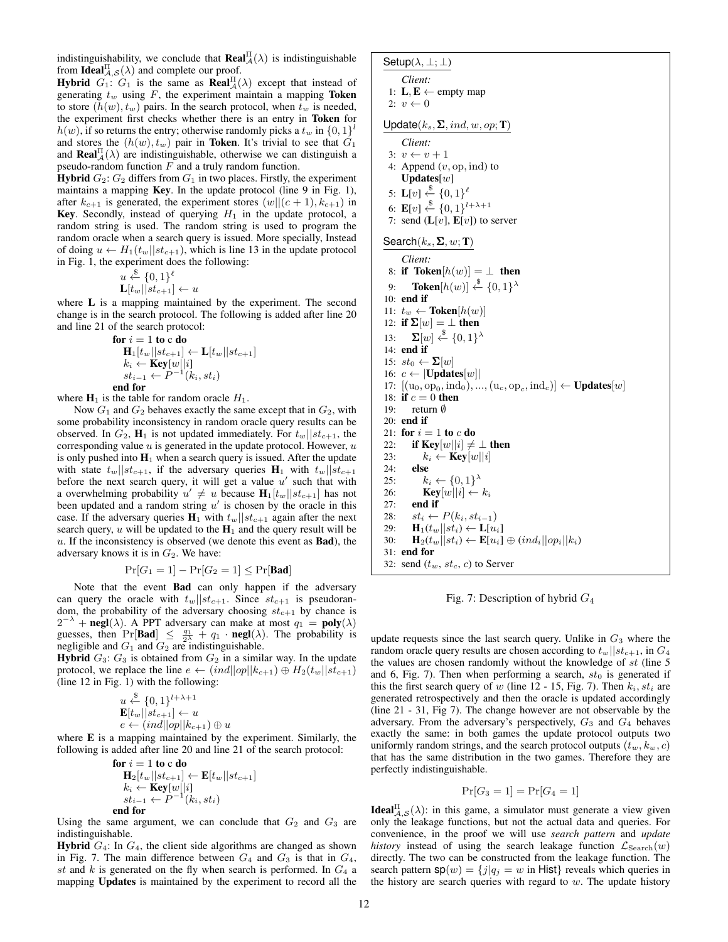indistinguishability, we conclude that  $\text{Real}_{\mathcal{A}}^{\Pi}(\lambda)$  is indistinguishable from **Ideal** $A_{\mathcal{A},\mathcal{S}}^{II}(\lambda)$  and complete our proof.

**Hybrid**  $G_1$ :  $G_1$  is the same as **Real**  $\mathbb{R}(\lambda)$  except that instead of generating  $t_w$  using  $F$ , the experiment maintain a mapping Token to store  $(h(w), t_w)$  pairs. In the search protocol, when  $t_w$  is needed, the experiment first checks whether there is an entry in Token for  $h(w)$ , if so returns the entry; otherwise randomly picks a  $t_w$  in  $\{0, 1\}^l$ and stores the  $(h(w), t_w)$  pair in Token. It's trivial to see that  $G_1$ and **Real** $\prod_{\alpha}^{\Pi}(\lambda)$  are indistinguishable, otherwise we can distinguish a pseudo-random function  $F$  and a truly random function.

**Hybrid**  $G_2$ :  $G_2$  differs from  $G_1$  in two places. Firstly, the experiment maintains a mapping Key. In the update protocol (line 9 in Fig. 1), after  $k_{c+1}$  is generated, the experiment stores  $(w||(c + 1), k_{c+1})$  in Key. Secondly, instead of querying  $H_1$  in the update protocol, a random string is used. The random string is used to program the random oracle when a search query is issued. More specially, Instead of doing  $u \leftarrow H_1(t_w||st_{c+1})$ , which is line 13 in the update protocol in Fig. 1, the experiment does the following:

$$
u \stackrel{\$}{\leftarrow} \{0,1\}^{\ell} \mathbf{L}[t_w || st_{c+1}] \leftarrow u
$$

where **L** is a mapping maintained by the experiment. The second change is in the search protocol. The following is added after line 20 and line 21 of the search protocol:

$$
\begin{array}{l}\n\textbf{for } i = 1 \textbf{ to c do} \\
\mathbf{H}_1[t_w||st_{c+1}] \leftarrow \mathbf{L}[t_w||st_{c+1}] \\
k_i \leftarrow \textbf{Key}[w||i] \\
st_{i-1} \leftarrow P^{-1}(k_i, st_i) \\
\textbf{end for}\n\end{array}
$$

where  $H_1$  is the table for random oracle  $H_1$ .

Now  $G_1$  and  $G_2$  behaves exactly the same except that in  $G_2$ , with some probability inconsistency in random oracle query results can be observed. In  $G_2$ ,  $\mathbf{H}_1$  is not updated immediately. For  $t_w||st_{c+1}$ , the corresponding value  $u$  is generated in the update protocol. However,  $u$ is only pushed into  $H_1$  when a search query is issued. After the update with state  $t_w||st_{c+1}$ , if the adversary queries  $H_1$  with  $t_w||st_{c+1}$ before the next search query, it will get a value  $u'$  such that with a overwhelming probability  $u' \neq u$  because  $H_1[t_w||st_{c+1}]$  has not been updated and a random string  $u'$  is chosen by the oracle in this case. If the adversary queries  $H_1$  with  $t_w||st_{c+1}$  again after the next search query, u will be updated to the  $H_1$  and the query result will be  $u$ . If the inconsistency is observed (we denote this event as  $Bad$ ), the adversary knows it is in  $G_2$ . We have:

$$
\Pr[G_1 = 1] - \Pr[G_2 = 1] \le \Pr[\mathbf{Bad}]
$$

Note that the event Bad can only happen if the adversary can query the oracle with  $t_w||st_{c+1}$ . Since  $st_{c+1}$  is pseudorandom, the probability of the adversary choosing  $st_{c+1}$  by chance is  $2^{-\lambda}$  + negl( $\lambda$ ). A PPT adversary can make at most  $q_1 = \text{poly}(\lambda)$ guesses, then  $\Pr[\text{Bad}] \leq \frac{q_1}{2\lambda} + q_1 \cdot \text{negl}(\lambda)$ . The probability is negligible and  $G_1$  and  $G_2$  are indistinguishable.

**Hybrid**  $G_3$ :  $G_3$  is obtained from  $G_2$  in a similar way. In the update protocol, we replace the line  $e \leftarrow (ind||op||k_{c+1}) \oplus H_2(t_w||st_{c+1})$ (line 12 in Fig. 1) with the following:

$$
u \stackrel{\$}{\leftarrow} \{0,1\}^{l+\lambda+1}
$$
  
\n
$$
\mathbf{E}[t_w||st_{c+1}] \leftarrow u
$$
  
\n
$$
e \leftarrow (ind||op||k_{c+1}) \oplus u
$$

where E is a mapping maintained by the experiment. Similarly, the following is added after line 20 and line 21 of the search protocol:

$$
\begin{array}{l}\n\textbf{for } i = 1 \textbf{ to c do} \\
\mathbf{H}_2[t_w||st_{c+1}] \leftarrow \mathbf{E}[t_w||st_{c+1}] \\
k_i \leftarrow \mathbf{Key}[w||i] \\
st_{i-1} \leftarrow P^{-1}(k_i, st_i) \\
\textbf{end for}\n\end{array}
$$

Using the same argument, we can conclude that  $G_2$  and  $G_3$  are indistinguishable.

**Hybrid**  $G_4$ : In  $G_4$ , the client side algorithms are changed as shown in Fig. 7. The main difference between  $G_4$  and  $G_3$  is that in  $G_4$ , st and k is generated on the fly when search is performed. In  $G_4$  a mapping Updates is maintained by the experiment to record all the

$$
\textsf{Setup}(\lambda,\perp;\perp)
$$

*Client:*  
1: 
$$
\mathbf{L}, \mathbf{E} \leftarrow \text{empty map}
$$

2: 
$$
v \leftarrow 0
$$

$$
\cdots
$$

Update $(k_s, \Sigma, ind, w, op; T)$ 

|     | $\cdot$ , , , , , , , ,                                                        |
|-----|--------------------------------------------------------------------------------|
|     | Client:                                                                        |
|     | $3: v \leftarrow v + 1$                                                        |
|     | 4: Append $(v, op, ind)$ to                                                    |
|     | Updates[ $w$ ]                                                                 |
|     | 5: $L[v] \xleftarrow{\$} \{0,1\}^{\ell}$                                       |
|     | 6: $\mathbf{E}[v] \xleftarrow{\$} \{0,1\}^{l+\lambda+1}$                       |
|     | 7: send $(L[v], E[v])$ to server                                               |
|     |                                                                                |
|     | Search $(k_s, \Sigma, w; T)$                                                   |
|     | Client:                                                                        |
|     | 8: if Token $[h(w)] = \perp$ then                                              |
| 9:  | <b>Token</b> $[h(w)] \stackrel{\$}{\leftarrow} \{0,1\}^{\lambda}$              |
|     | $10:$ end if                                                                   |
|     | 11: $t_w \leftarrow \textbf{Token}[h(w)]$                                      |
|     | 12: if $\Sigma[w] = \bot$ then                                                 |
|     | 13: $\mathbf{\Sigma}[w] \stackrel{\$}{\leftarrow} \{0,1\}^{\lambda}$           |
|     | $14:$ end if                                                                   |
|     | 15: $st_0 \leftarrow \Sigma[w]$                                                |
|     | 16: $c \leftarrow  \textbf{Updates}[w] $                                       |
|     | 17: $[(u_0, op_0, ind_0), , (u_c, op_c, ind_c)] \leftarrow \text{Update}[w]$   |
|     | 18: if $c=0$ then                                                              |
| 19: | return $\emptyset$                                                             |
|     | $20:$ end if                                                                   |
|     | 21: for $i=1$ to c do                                                          |
| 22: | if Key $[w  i] \neq \perp$ then                                                |
| 23: | $k_i \leftarrow \text{Key}[w  i]$                                              |
| 24: | else                                                                           |
| 25: | $k_i \leftarrow \{0,1\}^{\lambda}$                                             |
| 26: | $\mathbf{Key}[w  i] \leftarrow k_i$                                            |
|     | $27:$ end if                                                                   |
|     | 28: $st_i \leftarrow P(k_i, st_{i-1})$                                         |
|     | 29: $\mathbf{H}_1(t_w  st_i) \leftarrow \mathbf{L}[u_i]$                       |
| 30: | $\mathbf{H}_2(t_w  st_i) \leftarrow \mathbf{E}[u_i] \oplus (ind_i  op_i  k_i)$ |
|     | $31:$ end for                                                                  |
| 32: | send $(t_w, st_c, c)$ to Server                                                |

Fig. 7: Description of hybrid G<sup>4</sup>

update requests since the last search query. Unlike in  $G_3$  where the random oracle query results are chosen according to  $t_w||st_{c+1}$ , in  $G_4$ the values are chosen randomly without the knowledge of  $st$  (line 5) and 6, Fig. 7). Then when performing a search,  $st_0$  is generated if this the first search query of w (line 12 - 15, Fig. 7). Then  $k_i$ ,  $st_i$  are generated retrospectively and then the oracle is updated accordingly (line 21 - 31, Fig 7). The change however are not observable by the adversary. From the adversary's perspectively,  $G_3$  and  $G_4$  behaves exactly the same: in both games the update protocol outputs two uniformly random strings, and the search protocol outputs  $(t_w, k_w, c)$ that has the same distribution in the two games. Therefore they are perfectly indistinguishable.

$$
\Pr[G_3 = 1] = \Pr[G_4 = 1]
$$

**Ideal**<sup>II</sup> $A, S(\lambda)$ : in this game, a simulator must generate a view given only the leakage functions, but not the actual data and queries. For convenience, in the proof we will use *search pattern* and *update history* instead of using the search leakage function  $\mathcal{L}_{\text{Search}}(w)$ directly. The two can be constructed from the leakage function. The search pattern  $sp(w) = \{j | q_j = w \text{ in Hist}\}\$  reveals which queries in the history are search queries with regard to  $w$ . The update history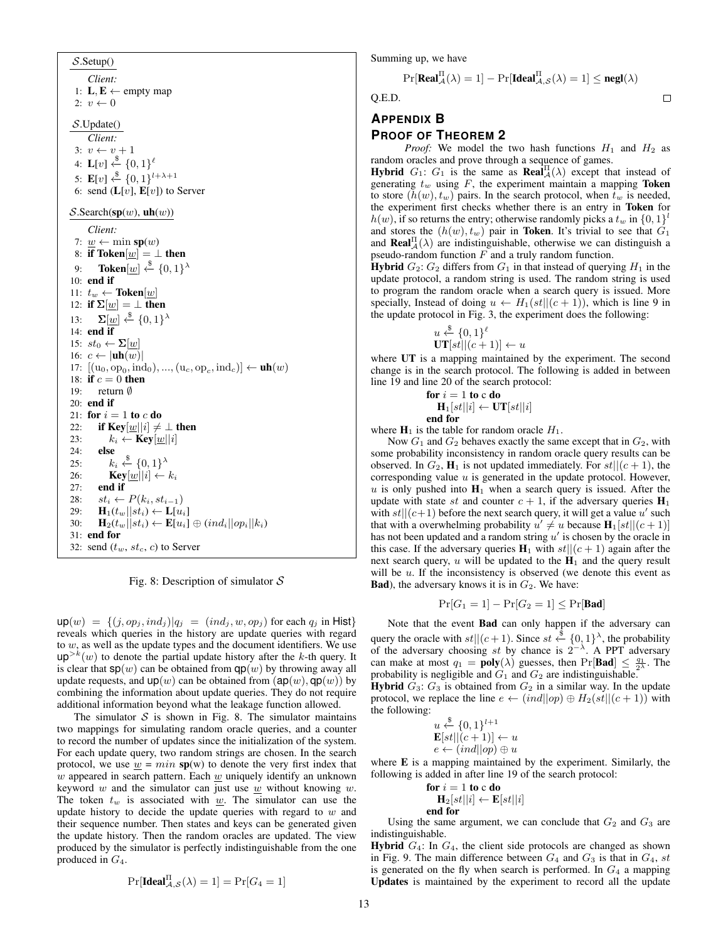$S$ . Setup() *Client:* 1:  $L, E \leftarrow$  empty map 2:  $v \leftarrow 0$ S.Update() *Client:* 3:  $v \leftarrow v + 1$ 4:  $\mathbf{L}[v] \stackrel{\$}{\leftarrow} \{0,1\}^{\ell}$ 5:  $\mathbf{E}[v] \xleftarrow{\$} \{0,1\}^{l+\lambda+1}$ 6: send  $(L[v], E[v])$  to Server  $\mathcal{S}$ . Search(sp(w), uh(w)) *Client:* 7:  $w \leftarrow \min sp(w)$ 8: if Token $[w] = \perp$  then 9: Token $[\underline{w}] \overset{\$}{\leftarrow} \{0,1\}^{\lambda}$ 10: end if 11:  $t_w \leftarrow \textbf{Token}[w]$ 12: if  $\Sigma[w] = \bot$  then 13:  $\mathbf{\Sigma}[\underline{w}] \xleftarrow{\$} \{0,1\}^{\lambda}$ 14: end if 15:  $st_0 \leftarrow \Sigma[\underline{w}]$ 16:  $c \leftarrow |\textbf{uh}(w)|$ 17:  $[(u_0, op_0, ind_0), ..., (u_c, op_c, ind_c)] \leftarrow \textbf{uh}(w)$ 18: if  $c = 0$  then 19: return ∅ 20: end if 21: for  $i = 1$  to c do 22: if Key $|w||i| \neq \perp$  then 23:  $k_i \leftarrow \text{Key}[w||i]$ 24: else  $25:$  $\xleftarrow{\$}$  {0, 1}<sup> $\lambda$ </sup> 26: **Key** $[\underline{w}||i] \leftarrow k_i$ 27: end if 28:  $st_i \leftarrow P(k_i, st_{i-1})$ 29:  $\mathbf{H}_1(t_w||st_i) \leftarrow \mathbf{L}[u_i]$ 30:  $\mathbf{H}_2(t_w||st_i) \leftarrow \mathbf{E}[u_i] \oplus (ind_i||op_i||k_i)$ 31: end for 32: send  $(t_w, st_c, c)$  to Server

Fig. 8: Description of simulator  $S$ 

 $up(w) = \{(j, op_j, ind_j) | q_j = (ind_j, w, op_j) \text{ for each } q_j \text{ in Hist}\}\$ reveals which queries in the history are update queries with regard to  $w$ , as well as the update types and the document identifiers. We use  $up^{>k}(w)$  to denote the partial update history after the k-th query. It is clear that  $sp(w)$  can be obtained from  $qp(w)$  by throwing away all update requests, and  $up(w)$  can be obtained from  $(ap(w), qp(w))$  by combining the information about update queries. They do not require additional information beyond what the leakage function allowed.

The simulator  $S$  is shown in Fig. 8. The simulator maintains two mappings for simulating random oracle queries, and a counter to record the number of updates since the initialization of the system. For each update query, two random strings are chosen. In the search protocol, we use  $\underline{w} = min$  sp(w) to denote the very first index that  $w$  appeared in search pattern. Each  $w$  uniquely identify an unknown keyword  $w$  and the simulator can just use  $w$  without knowing  $w$ . The token  $t_w$  is associated with w. The simulator can use the update history to decide the update queries with regard to  $w$  and their sequence number. Then states and keys can be generated given the update history. Then the random oracles are updated. The view produced by the simulator is perfectly indistinguishable from the one produced in  $G_4$ .

$$
\Pr[\mathbf{Ideal}_{\mathcal{A},\mathcal{S}}^{\Pi}(\lambda) = 1] = \Pr[G_4 = 1]
$$

Summing up, we have

$$
\Pr[\textbf{Real}_{\mathcal{A}}^{\Pi}(\lambda) = 1] - \Pr[\textbf{Ideal}_{\mathcal{A},\mathcal{S}}^{\Pi}(\lambda) = 1] \le \textbf{negl}(\lambda)
$$

 $\Box$ 

Q.E.D.

# **APPENDIX B PROOF OF THEOREM 2**

*Proof:* We model the two hash functions  $H_1$  and  $H_2$  as random oracles and prove through a sequence of games.

**Hybrid**  $G_1$ :  $G_1$  is the same as **Real** $\overline{A}(\lambda)$  except that instead of generating  $t_w$  using  $F$ , the experiment maintain a mapping **Token** to store  $(h(w), t_w)$  pairs. In the search protocol, when  $\hat{t}_w$  is needed, the experiment first checks whether there is an entry in Token for  $h(w)$ , if so returns the entry; otherwise randomly picks a  $t_w$  in  $\{0, 1\}^l$ and stores the  $(h(w), t_w)$  pair in **Token**. It's trivial to see that  $G_1$ and **Real** $\prod_{\alpha}^{H}(\lambda)$  are indistinguishable, otherwise we can distinguish a pseudo-random function  $F$  and a truly random function.

**Hybrid**  $G_2$ :  $G_2$  differs from  $G_1$  in that instead of querying  $H_1$  in the update protocol, a random string is used. The random string is used to program the random oracle when a search query is issued. More specially, Instead of doing  $u \leftarrow H_1(st||(c+1))$ , which is line 9 in the update protocol in Fig. 3, the experiment does the following:

$$
u \stackrel{\$}{\leftarrow} \{0,1\}^{\ell} \mathbf{UT}[st||(c+1)] \leftarrow u
$$

where UT is a mapping maintained by the experiment. The second change is in the search protocol. The following is added in between line 19 and line 20 of the search protocol:

$$
\begin{array}{l}\n\textbf{for } i = 1 \textbf{ to } c \textbf{ do} \\
\mathbf{H}_1[st||i] \leftarrow \mathbf{UT}[st||i] \\
\textbf{end for}\n\end{array}
$$

where  $H_1$  is the table for random oracle  $H_1$ .

Now  $G_1$  and  $G_2$  behaves exactly the same except that in  $G_2$ , with some probability inconsistency in random oracle query results can be observed. In  $G_2$ ,  $\mathbf{H}_1$  is not updated immediately. For  $st||(c+1)$ , the corresponding value  $u$  is generated in the update protocol. However,  $u$  is only pushed into  $H_1$  when a search query is issued. After the update with state st and counter  $c + 1$ , if the adversary queries  $H_1$ with  $st||(c+1)$  before the next search query, it will get a value u' such that with a overwhelming probability  $u' \neq u$  because  $H_1[st||(c+1)]$ has not been updated and a random string  $u'$  is chosen by the oracle in this case. If the adversary queries  $H_1$  with  $st||(c+1)$  again after the next search query, u will be updated to the  $H_1$  and the query result will be  $u$ . If the inconsistency is observed (we denote this event as **Bad**), the adversary knows it is in  $G_2$ . We have:

$$
\Pr[G_1 = 1] - \Pr[G_2 = 1] \le \Pr[\mathbf{Bad}]
$$

Note that the event Bad can only happen if the adversary can query the oracle with  $st||(c+1)$ . Since  $st \stackrel{\$}{\leftarrow} \{0,1\}^{\lambda}$ , the probability of the adversary choosing st by chance is  $2^{-\lambda}$ . A PPT adversary can make at most  $q_1 = \text{poly}(\lambda)$  guesses, then  $Pr[\text{Bad}] \leq \frac{q_1}{2\lambda}$ . The probability is negligible and  $G_1$  and  $G_2$  are indistinguishable.

**Hybrid**  $G_3$ :  $G_3$  is obtained from  $G_2$  in a similar way. In the update protocol, we replace the line  $e \leftarrow (ind||op) \oplus H_2(st||(c+1))$  with the following:

$$
u \stackrel{\$}{\leftarrow} \{0,1\}^{l+1}
$$
  

$$
\mathbf{E}[st||(c+1)] \leftarrow u
$$
  

$$
e \leftarrow (ind||op) \oplus u
$$

where E is a mapping maintained by the experiment. Similarly, the following is added in after line 19 of the search protocol:

for 
$$
i = 1
$$
 to c do  
\n
$$
H_2[st||i] \leftarrow E[st||i]
$$
\nend for

Using the same argument, we can conclude that  $G_2$  and  $G_3$  are indistinguishable.

**Hybrid**  $G_4$ : In  $G_4$ , the client side protocols are changed as shown in Fig. 9. The main difference between  $G_4$  and  $G_3$  is that in  $G_4$ , st is generated on the fly when search is performed. In  $G_4$  a mapping Updates is maintained by the experiment to record all the update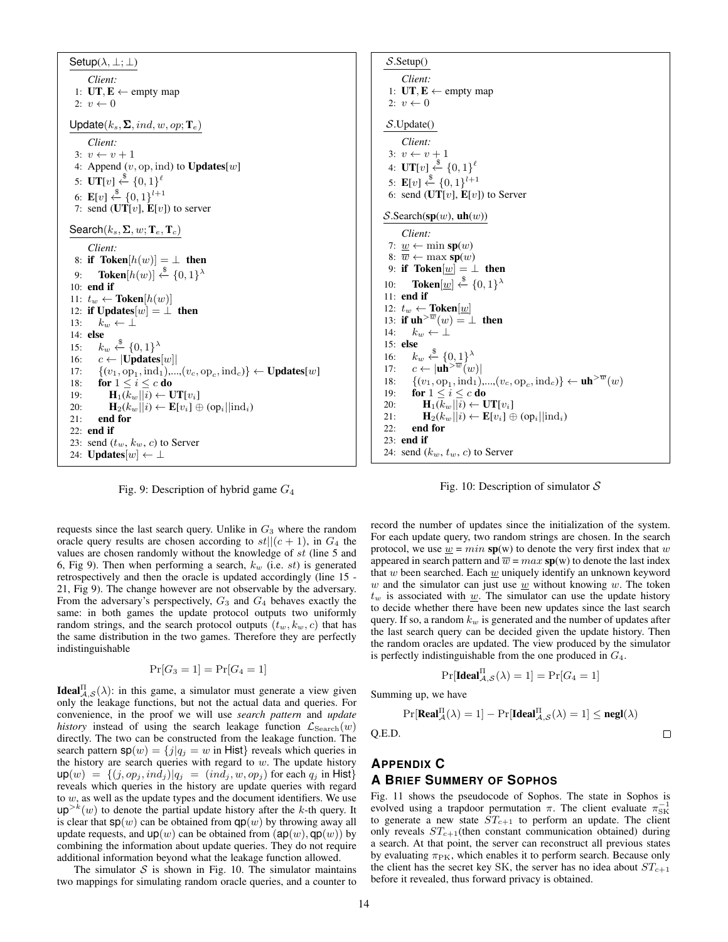Setup( $\lambda, \perp; \perp$ ) *Client:* 1:  $UT, E \leftarrow \text{empty map}$ 2:  $v \leftarrow 0$ Update $(k_s, \Sigma, ind, w, op; T_e)$ *Client:* 3:  $v \leftarrow v + 1$ 4: Append  $(v, op, ind)$  to Updates[w] 5:  $\mathbf{UT}[v] \stackrel{\$}{\leftarrow} \{0,1\}^{\ell}$ 6:  $\mathbf{E}[v] \xleftarrow{\$} \{0,1\}^{l+1}$ 7: send  $(\mathbf{UT}[v], \mathbf{E}[v])$  to server Search $(k_s, \Sigma, w; T_e, T_c)$ *Client:* 8: if Token $[h(w)] = \perp$  then 9: **Token** $[h(w)] \stackrel{\$}{\leftarrow} \{0,1\}^{\lambda}$ 10: end if 11:  $t_w \leftarrow \textbf{Token}[h(w)]$ 12: if Updates[ $w$ ] =  $\perp$  then 13:  $k_w \leftarrow \perp$ 14: else 15:  $k_w \stackrel{\$}{\leftarrow} \{0,1\}^{\lambda}$ 16:  $c \leftarrow |\textbf{Update}[w]|$ 17:  $\{(v_1, \text{op}_1, \text{ind}_1), ..., (v_c, \text{op}_c, \text{ind}_c)\} \leftarrow \text{Updates}[w]$ 18: for  $1 \leq i \leq c$  do 19:  $\mathbf{H}_1(k_w||i) \leftarrow \mathbf{UT}[v_i]$ 20:  $\mathbf{H}_2(k_w||i) \leftarrow \mathbf{E}[v_i] \oplus \text{(op}_i||\text{ind}_i)$  $21:$  end for 22: end if 23: send  $(t_w, k_w, c)$  to Server 24: **Updates**[ $w$ ]  $\leftarrow \perp$ 

Fig. 9: Description of hybrid game  $G_4$ 

requests since the last search query. Unlike in  $G_3$  where the random oracle query results are chosen according to  $st||(c+1)$ , in  $G_4$  the values are chosen randomly without the knowledge of st (line 5 and 6, Fig 9). Then when performing a search,  $k_w$  (i.e. st) is generated retrospectively and then the oracle is updated accordingly (line 15 - 21, Fig 9). The change however are not observable by the adversary. From the adversary's perspectively,  $G_3$  and  $G_4$  behaves exactly the same: in both games the update protocol outputs two uniformly random strings, and the search protocol outputs  $(t_w, k_w, c)$  that has the same distribution in the two games. Therefore they are perfectly indistinguishable

$$
\Pr[G_3 = 1] = \Pr[G_4 = 1]
$$

**Ideal**<sup>II</sup> $A, S(\lambda)$ : in this game, a simulator must generate a view given only the leakage functions, but not the actual data and queries. For convenience, in the proof we will use *search pattern* and *update history* instead of using the search leakage function  $\mathcal{L}_{\text{Search}}(w)$ directly. The two can be constructed from the leakage function. The search pattern  $sp(w) = \{j | q_j = w \text{ in Hist}\}\$  reveals which queries in the history are search queries with regard to  $w$ . The update history  $\mathsf{up}(w) = \{(j, op_j, ind_j) | q_j = (ind_j, w, op_j) \text{ for each } q_j \text{ in Hist}\}\$ reveals which queries in the history are update queries with regard to  $w$ , as well as the update types and the document identifiers. We use  $up^{>k}(w)$  to denote the partial update history after the k-th query. It is clear that  $sp(w)$  can be obtained from  $qp(w)$  by throwing away all update requests, and  $up(w)$  can be obtained from  $(ap(w), qp(w))$  by combining the information about update queries. They do not require additional information beyond what the leakage function allowed.

The simulator  $S$  is shown in Fig. 10. The simulator maintains two mappings for simulating random oracle queries, and a counter to

 $S$ . Setup() *Client:* 1: **UT**,  $E$  ← empty map 2:  $v \leftarrow 0$ S.Update() *Client:* 3:  $v \leftarrow v + 1$ 4:  $\mathbf{UT}[v] \overset{\$}{\leftarrow} \{0,1\}^{\ell}$ 5:  $\mathbf{E}[v] \xleftarrow{\$} \{0,1\}^{l+1}$ 6: send  $(UT[v], E[v])$  to Server  $S$ .Search(sp(w), uh(w)) *Client:* 7:  $\underline{w} \leftarrow \min sp(w)$ 8:  $\overline{w} \leftarrow \max sp(w)$ 9: if Token $[w] = \perp$  then 10: Token $[\underline{w}] \overset{\$}{\leftarrow} \{0,1\}^{\lambda}$ 11: end if 12:  $t_w \leftarrow \textbf{Token}[\underline{w}]$ 13: if  $uh^{>w}(w) = \perp$  then 14:  $k_w \leftarrow \perp$ 15: else 16:  $k_w \stackrel{\$}{\leftarrow} \{0,1\}^{\lambda}$ 17:  $c \leftarrow |\mathbf{uh}^{>w}(w)|$ 18:  $\{(v_1, \text{op}_1, \text{ind}_1), ..., (v_c, \text{op}_c, \text{ind}_c)\}\leftarrow \mathbf{uh}^{>w}(w)$ 19: **for**  $1 \leq i \leq c$  **do** 20:  $\mathbf{H}_1(k_w||i) \leftarrow \mathbf{UT}[v_i]$ 21:  $\mathbf{H}_2(k_w||i) \leftarrow \mathbf{E}[v_i] \oplus \text{(op}_i||\text{ind}_i)$ 22: end for 23: end if 24: send  $(k_w, t_w, c)$  to Server



record the number of updates since the initialization of the system. For each update query, two random strings are chosen. In the search protocol, we use  $\underline{w} = min$  sp(w) to denote the very first index that w appeared in search pattern and  $\overline{w} = max$  sp(w) to denote the last index that w been searched. Each  $\underline{w}$  uniquely identify an unknown keyword w and the simulator can just use  $w$  without knowing  $w$ . The token  $t_w$  is associated with  $w$ . The simulator can use the update history to decide whether there have been new updates since the last search query. If so, a random  $k_w$  is generated and the number of updates after the last search query can be decided given the update history. Then the random oracles are updated. The view produced by the simulator is perfectly indistinguishable from the one produced in  $G_4$ .

$$
\Pr[\mathbf{Ideal}_{\mathcal{A},\mathcal{S}}^{\Pi}(\lambda) = 1] = \Pr[G_4 = 1]
$$

 $\Box$ 

Summing up, we have

Q.E.D.

$$
\Pr[\mathbf{Real}_{\mathcal{A}}^{\Pi}(\lambda) = 1] - \Pr[\mathbf{Ideal}_{\mathcal{A}, \mathcal{S}}^{\Pi}(\lambda) = 1] \le \mathbf{negl}(\lambda)
$$

# **APPENDIX C A BRIEF SUMMERY OF SOPHOS**

Fig. 11 shows the pseudocode of Sophos. The state in Sophos is evolved using a trapdoor permutation  $\pi$ . The client evaluate  $\pi_{SK}^{-1}$ to generate a new state  $ST_{c+1}$  to perform an update. The client only reveals  $ST_{c+1}$ (then constant communication obtained) during a search. At that point, the server can reconstruct all previous states by evaluating  $\pi_{\text{PK}}$ , which enables it to perform search. Because only the client has the secret key SK, the server has no idea about  $ST_{c+1}$ before it revealed, thus forward privacy is obtained.